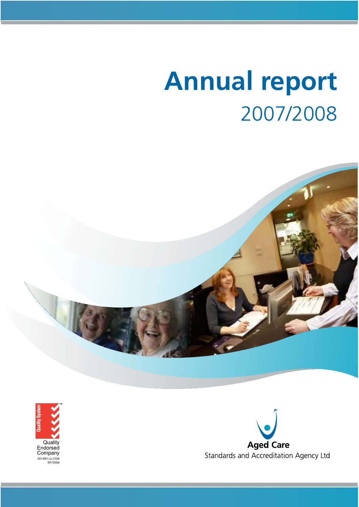# **Annual report** 2007/2008





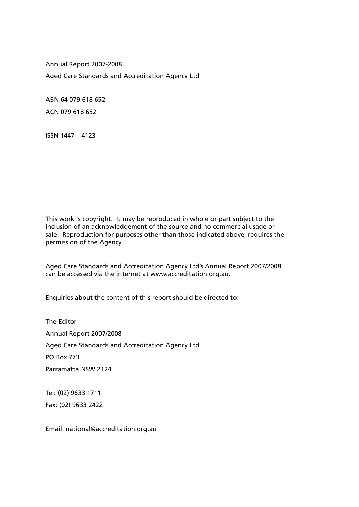Annual Report 2007-2008 Aged Care Standards and Accreditation Agency Ltd

ABN 64 079 618 652 ACN 079 618 652

ISSN 1447 – 4123

This work is copyright. It may be reproduced in whole or part subject to the inclusion of an acknowledgement of the source and no commercial usage or sale. Reproduction for purposes other than those indicated above, requires the permission of the Agency.

Aged Care Standards and Accreditation Agency Ltd's Annual Report 2007/2008 can be accessed via the internet at www.accreditation.org.au.

Enquiries about the content of this report should be directed to:

The Editor Annual Report 2007/2008 Aged Care Standards and Accreditation Agency Ltd PO Box 773 Parramatta NSW 2124

Tel: (02) 9633 1711 Fax: (02) 9633 2422

Email: national@accreditation.org.au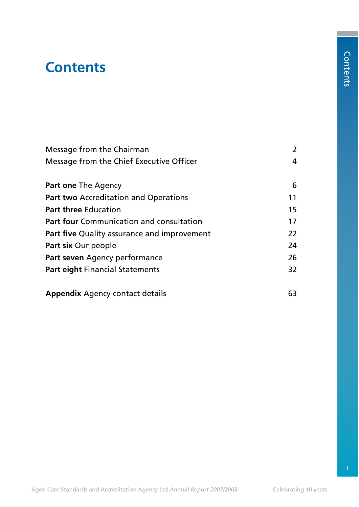# **Contents**

| Message from the Chairman                          | 2  |
|----------------------------------------------------|----|
| Message from the Chief Executive Officer           | 4  |
| <b>Part one The Agency</b>                         | 6  |
| <b>Part two Accreditation and Operations</b>       | 11 |
| <b>Part three Education</b>                        | 15 |
| <b>Part four Communication and consultation</b>    | 17 |
| <b>Part five Quality assurance and improvement</b> | 22 |
| Part six Our people                                | 24 |
| Part seven Agency performance                      | 26 |
| <b>Part eight Financial Statements</b>             | 32 |
| <b>Appendix</b> Agency contact details             | 63 |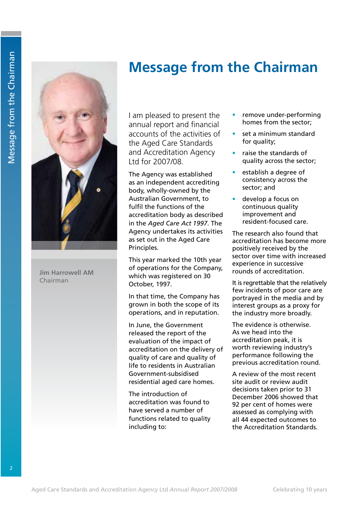# **Message from the Chairman**



**Jim Harrowell AM** Chairman

I am pleased to present the annual report and financial accounts of the activities of the Aged Care Standards and Accreditation Agency Ltd for 2007/08.

The Agency was established as an independent accrediting body, wholly-owned by the Australian Government, to fulfil the functions of the accreditation body as described in the *Aged Care Act 1997*. The Agency undertakes its activities as set out in the Aged Care Principles.

This year marked the 10th year of operations for the Company, which was registered on 30 October, 1997.

In that time, the Company has grown in both the scope of its operations, and in reputation.

In June, the Government released the report of the evaluation of the impact of accreditation on the delivery of quality of care and quality of life to residents in Australian Government-subsidised residential aged care homes.

The introduction of accreditation was found to have served a number of functions related to quality including to:

- remove under-performing homes from the sector;
- set a minimum standard for quality;
- raise the standards of quality across the sector;
- establish a degree of consistency across the sector; and
- develop a focus on continuous quality improvement and resident-focused care.

The research also found that accreditation has become more positively received by the sector over time with increased experience in successive rounds of accreditation.

It is regrettable that the relatively few incidents of poor care are portrayed in the media and by interest groups as a proxy for the industry more broadly.

The evidence is otherwise. As we head into the accreditation peak, it is worth reviewing industry's performance following the previous accreditation round.

A review of the most recent site audit or review audit decisions taken prior to 31 December 2006 showed that 92 per cent of homes were assessed as complying with all 44 expected outcomes to the Accreditation Standards.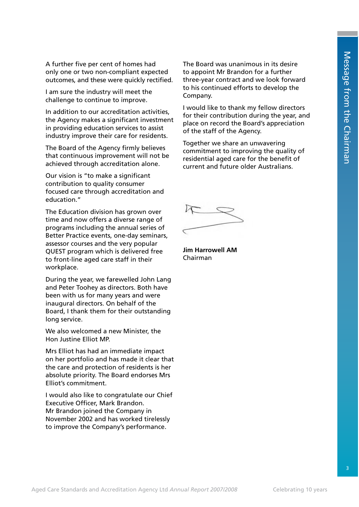A further five per cent of homes had only one or two non-compliant expected outcomes, and these were quickly rectified.

I am sure the industry will meet the challenge to continue to improve.

In addition to our accreditation activities, the Agency makes a significant investment in providing education services to assist industry improve their care for residents.

The Board of the Agency firmly believes that continuous improvement will not be achieved through accreditation alone.

Our vision is "to make a significant contribution to quality consumer focused care through accreditation and education."

The Education division has grown over time and now offers a diverse range of programs including the annual series of Better Practice events, one-day seminars, assessor courses and the very popular QUEST program which is delivered free to front-line aged care staff in their workplace.

During the year, we farewelled John Lang and Peter Toohey as directors. Both have been with us for many years and were inaugural directors. On behalf of the Board, I thank them for their outstanding long service.

We also welcomed a new Minister, the Hon Justine Elliot MP.

Mrs Elliot has had an immediate impact on her portfolio and has made it clear that the care and protection of residents is her absolute priority. The Board endorses Mrs Elliot's commitment.

I would also like to congratulate our Chief Executive Officer, Mark Brandon. Mr Brandon joined the Company in November 2002 and has worked tirelessly to improve the Company's performance.

The Board was unanimous in its desire to appoint Mr Brandon for a further three-year contract and we look forward to his continued efforts to develop the Company.

I would like to thank my fellow directors for their contribution during the year, and place on record the Board's appreciation of the staff of the Agency.

Together we share an unwavering commitment to improving the quality of residential aged care for the benefit of current and future older Australians.

**Jim Harrowell AM** Chairman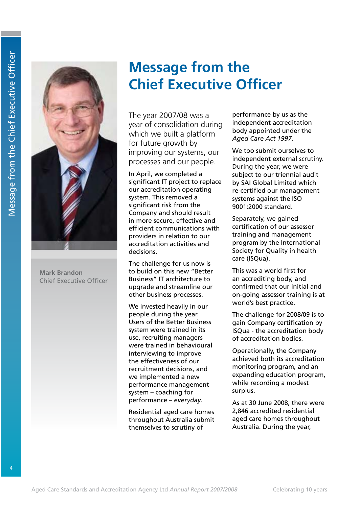

**Mark Brandon** Chief Executive Officer

# **Message from the Chief Executive Officer**

The year 2007/08 was a year of consolidation during which we built a platform for future growth by improving our systems, our processes and our people.

In April, we completed a significant IT project to replace our accreditation operating system. This removed a significant risk from the Company and should result in more secure, effective and efficient communications with providers in relation to our accreditation activities and decisions.

The challenge for us now is to build on this new "Better Business" IT architecture to upgrade and streamline our other business processes.

We invested heavily in our people during the year. Users of the Better Business system were trained in its use, recruiting managers were trained in behavioural interviewing to improve the effectiveness of our recruitment decisions, and we implemented a new performance management system – coaching for performance – *everyday*.

Residential aged care homes throughout Australia submit themselves to scrutiny of

performance by us as the independent accreditation body appointed under the *Aged Care Act 1997*.

We too submit ourselves to independent external scrutiny. During the year, we were subject to our triennial audit by SAI Global Limited which re-certified our management systems against the ISO 9001:2000 standard.

Separately, we gained certification of our assessor training and management program by the International Society for Quality in health care (ISQua).

This was a world first for an accrediting body, and confirmed that our initial and on-going assessor training is at world's best practice.

The challenge for 2008/09 is to gain Company certification by ISQua - the accreditation body of accreditation bodies.

Operationally, the Company achieved both its accreditation monitoring program, and an expanding education program, while recording a modest surplus.

As at 30 June 2008, there were 2,846 accredited residential aged care homes throughout Australia. During the year,

4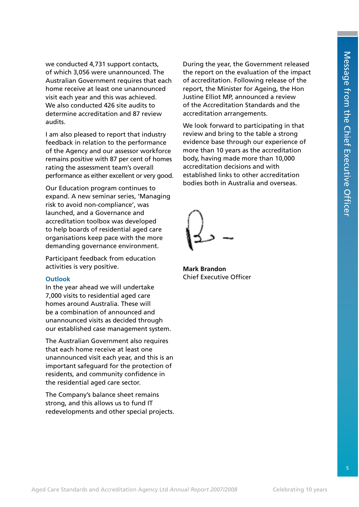we conducted 4,731 support contacts, of which 3,056 were unannounced. The Australian Government requires that each home receive at least one unannounced visit each year and this was achieved. We also conducted 426 site audits to determine accreditation and 87 review audits.

I am also pleased to report that industry feedback in relation to the performance of the Agency and our assessor workforce remains positive with 87 per cent of homes rating the assessment team's overall performance as either excellent or very good.

Our Education program continues to expand. A new seminar series, 'Managing risk to avoid non-compliance', was launched, and a Governance and accreditation toolbox was developed to help boards of residential aged care organisations keep pace with the more demanding governance environment.

Participant feedback from education activities is very positive.

### **Outlook**

In the year ahead we will undertake 7,000 visits to residential aged care homes around Australia. These will be a combination of announced and unannounced visits as decided through our established case management system.

The Australian Government also requires that each home receive at least one unannounced visit each year, and this is an important safeguard for the protection of residents, and community confidence in the residential aged care sector.

The Company's balance sheet remains strong, and this allows us to fund IT redevelopments and other special projects.

During the year, the Government released the report on the evaluation of the impact of accreditation. Following release of the report, the Minister for Ageing, the Hon Justine Elliot MP, announced a review of the Accreditation Standards and the accreditation arrangements.

We look forward to participating in that review and bring to the table a strong evidence base through our experience of more than 10 years as the accreditation body, having made more than 10,000 accreditation decisions and with established links to other accreditation bodies both in Australia and overseas.

**Mark Brandon** Chief Executive Officer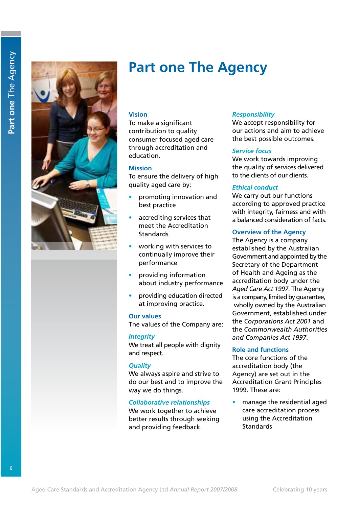

Part one The Agency **Part one** The Agency

# **Part one The Agency**

### **Vision**

To make a significant contribution to quality consumer focused aged care through accreditation and education.

### **Mission**

To ensure the delivery of high quality aged care by:

- promoting innovation and best practice
- accrediting services that meet the Accreditation **Standards**
- working with services to continually improve their performance
- s providing information about industry performance
- providing education directed at improving practice.

### **Our values**

The values of the Company are:

### *Integrity*

We treat all people with dignity and respect.

### *Quality*

We always aspire and strive to do our best and to improve the way we do things.

### *Collaborative relationships*

We work together to achieve better results through seeking and providing feedback.

### *Responsibility*

We accept responsibility for our actions and aim to achieve the best possible outcomes.

### *Service focus*

We work towards improving the quality of services delivered to the clients of our clients.

### *Ethical conduct*

We carry out our functions according to approved practice with integrity, fairness and with a balanced consideration of facts.

### **Overview of the Agency**

The Agency is a company established by the Australian Government and appointed by the Secretary of the Department of Health and Ageing as the accreditation body under the *Aged Care Act 1997*. The Agency is a company, limited by guarantee, wholly owned by the Australian Government, established under the *Corporations Act 2001* and the *Commonwealth Authorities and Companies Act 1997*.

### **Role and functions**

The core functions of the accreditation body (the Agency) are set out in the Accreditation Grant Principles 1999. These are:

manage the residential aged care accreditation process using the Accreditation **Standards** 

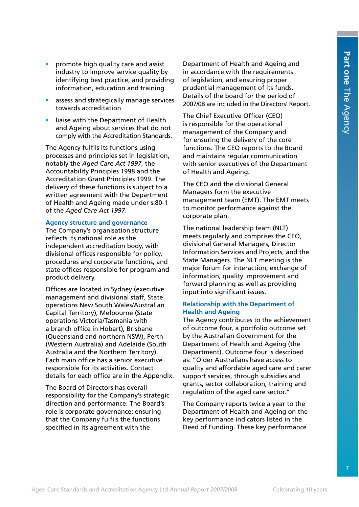- promote high quality care and assist industry to improve service quality by identifying best practice, and providing information, education and training
- assess and strategically manage services towards accreditation
- liaise with the Department of Health and Ageing about services that do not comply with the Accreditation Standards.

The Agency fulfils its functions using processes and principles set in legislation, notably the *Aged Care Act 1997*, the Accountability Principles 1998 and the Accreditation Grant Principles 1999. The delivery of these functions is subject to a written agreement with the Department of Health and Ageing made under s.80-1 of the *Aged Care Act 1997*.

### **Agency structure and governance**

The Company's organisation structure reflects its national role as the independent accreditation body, with divisional offices responsible for policy, procedures and corporate functions, and state offices responsible for program and product delivery.

Offices are located in Sydney (executive management and divisional staff, State operations New South Wales/Australian Capital Territory), Melbourne (State operations Victoria/Tasmania with a branch office in Hobart), Brisbane (Queensland and northern NSW), Perth (Western Australia) and Adelaide (South Australia and the Northern Territory). Each main office has a senior executive responsible for its activities. Contact details for each office are in the Appendix.

The Board of Directors has overall responsibility for the Company's strategic direction and performance. The Board's role is corporate governance: ensuring that the Company fulfils the functions specified in its agreement with the

Department of Health and Ageing and in accordance with the requirements of legislation, and ensuring proper prudential management of its funds. Details of the board for the period of 2007/08 are included in the Directors' Report.

The Chief Executive Officer (CEO) is responsible for the operational management of the Company and for ensuring the delivery of the core functions. The CEO reports to the Board and maintains regular communication with senior executives of the Department of Health and Ageing.

The CEO and the divisional General Managers form the executive management team (EMT). The EMT meets to monitor performance against the corporate plan.

The national leadership team (NLT) meets regularly and comprises the CEO, divisional General Managers, Director Information Services and Projects, and the State Managers. The NLT meeting is the major forum for interaction, exchange of information, quality improvement and forward planning as well as providing input into significant issues.

### **Relationship with the Department of Health and Ageing**

The Agency contributes to the achievement of outcome four, a portfolio outcome set by the Australian Government for the Department of Health and Ageing (the Department). Outcome four is described as: "Older Australians have access to quality and affordable aged care and carer support services, through subsidies and grants, sector collaboration, training and regulation of the aged care sector."

The Company reports twice a year to the Department of Health and Ageing on the key performance indicators listed in the Deed of Funding. These key performance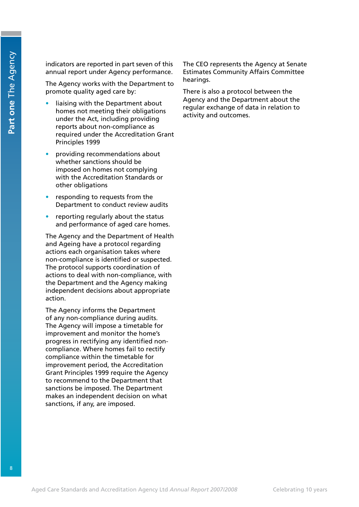indicators are reported in part seven of this annual report under Agency performance.

The Agency works with the Department to promote quality aged care by:

- liaising with the Department about homes not meeting their obligations under the Act, including providing reports about non-compliance as required under the Accreditation Grant Principles 1999
- providing recommendations about whether sanctions should be imposed on homes not complying with the Accreditation Standards or other obligations
- responding to requests from the Department to conduct review audits
- $\bullet$  reporting regularly about the status and performance of aged care homes.

The Agency and the Department of Health and Ageing have a protocol regarding actions each organisation takes where non-compliance is identified or suspected. The protocol supports coordination of actions to deal with non-compliance, with the Department and the Agency making independent decisions about appropriate action.

The Agency informs the Department of any non-compliance during audits. The Agency will impose a timetable for improvement and monitor the home's progress in rectifying any identified noncompliance. Where homes fail to rectify compliance within the timetable for improvement period, the Accreditation Grant Principles 1999 require the Agency to recommend to the Department that sanctions be imposed. The Department makes an independent decision on what sanctions, if any, are imposed.

The CEO represents the Agency at Senate Estimates Community Affairs Committee hearings.

There is also a protocol between the Agency and the Department about the regular exchange of data in relation to activity and outcomes.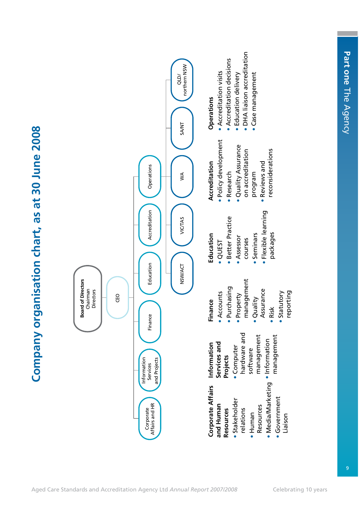



| Corporate Affairs Information   |                        | Finance                | Education           | Accreditation       |
|---------------------------------|------------------------|------------------------|---------------------|---------------------|
| and Human                       | Services and           | <b>Accounts</b>        | · QUEST             | · Policy developmen |
| Resources                       | Projects               | · Purchasing           | · Better Practice   | Research            |
| · Stakeholder                   | · Computer             | Property               | • Assessor          | · Quality Assurance |
| relations                       | hardware and           | management             | courses             | on accreditation    |
| · Human                         | management<br>software | <b>Quality</b>         | • Seminars          | program             |
| Resources                       |                        | Assurance              | · Flexible learning | <b>Reviews</b> and  |
| • Media/Marketing • Information | management             | Risk                   | packages            | reconsiderations    |
| · Government<br>Liaison         |                        | reporting<br>Statutory |                     |                     |
|                                 |                        |                        |                     |                     |

DHA liaison accreditation

• DHA liaison accreditation

Case management

· Case management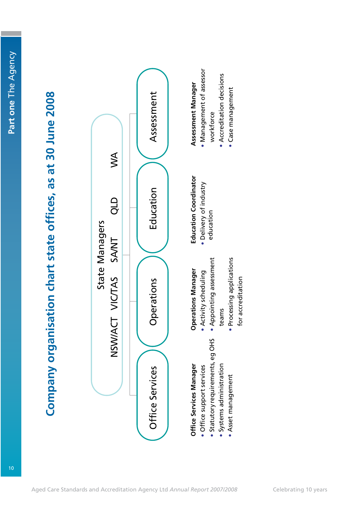# Company organisation chart state offices, as at 30 June 2008 **Company organisation chart state offices, as at 30 June 2008**



\* Syste ms ad ministration

 tea ms

Accreditation decisions

 $\bullet$ \*

Case

manage

ment

- \* Asset manage ment
- · Processing applications Processing applications for accreditation for accreditation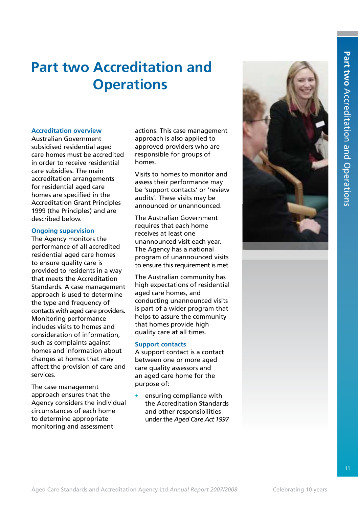# **Part two Accreditation and Operations**

### **Accreditation overview**

Australian Government subsidised residential aged care homes must be accredited in order to receive residential care subsidies. The main accreditation arrangements for residential aged care homes are specified in the Accreditation Grant Principles 1999 (the Principles) and are described below.

### **Ongoing supervision**

The Agency monitors the performance of all accredited residential aged care homes to ensure quality care is provided to residents in a way that meets the Accreditation Standards. A case management approach is used to determine the type and frequency of contacts with aged care providers. Monitoring performance includes visits to homes and consideration of information, such as complaints against homes and information about changes at homes that may affect the provision of care and services.

The case management approach ensures that the Agency considers the individual circumstances of each home to determine appropriate monitoring and assessment

actions. This case management approach is also applied to approved providers who are responsible for groups of homes.

Visits to homes to monitor and assess their performance may be 'support contacts' or 'review audits'. These visits may be announced or unannounced.

The Australian Government requires that each home receives at least one unannounced visit each year. The Agency has a national program of unannounced visits to ensure this requirement is met.

The Australian community has high expectations of residential aged care homes, and conducting unannounced visits is part of a wider program that helps to assure the community that homes provide high quality care at all times.

### **Support contacts**

A support contact is a contact between one or more aged care quality assessors and an aged care home for the purpose of:

ensuring compliance with the Accreditation Standards and other responsibilities under the *Aged Care Act 1997*

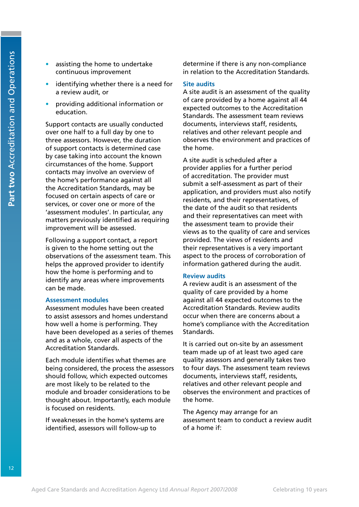- assisting the home to undertake continuous improvement
- identifying whether there is a need for a review audit, or
- providing additional information or education.

Support contacts are usually conducted over one half to a full day by one to three assessors. However, the duration of support contacts is determined case by case taking into account the known circumstances of the home. Support contacts may involve an overview of the home's performance against all the Accreditation Standards, may be focused on certain aspects of care or services, or cover one or more of the 'assessment modules'. In particular, any matters previously identified as requiring improvement will be assessed.

Following a support contact, a report is given to the home setting out the observations of the assessment team. This helps the approved provider to identify how the home is performing and to identify any areas where improvements can be made.

### **Assessment modules**

Assessment modules have been created to assist assessors and homes understand how well a home is performing. They have been developed as a series of themes and as a whole, cover all aspects of the Accreditation Standards.

Each module identifies what themes are being considered, the process the assessors should follow, which expected outcomes are most likely to be related to the module and broader considerations to be thought about. Importantly, each module is focused on residents.

If weaknesses in the home's systems are identified, assessors will follow-up to

determine if there is any non-compliance in relation to the Accreditation Standards.

### **Site audits**

A site audit is an assessment of the quality of care provided by a home against all 44 expected outcomes to the Accreditation Standards. The assessment team reviews documents, interviews staff, residents, relatives and other relevant people and observes the environment and practices of the home.

A site audit is scheduled after a provider applies for a further period of accreditation. The provider must submit a self-assessment as part of their application, and providers must also notify residents, and their representatives, of the date of the audit so that residents and their representatives can meet with the assessment team to provide their views as to the quality of care and services provided. The views of residents and their representatives is a very important aspect to the process of corroboration of information gathered during the audit.

### **Review audits**

A review audit is an assessment of the quality of care provided by a home against all 44 expected outcomes to the Accreditation Standards. Review audits occur when there are concerns about a home's compliance with the Accreditation Standards.

It is carried out on-site by an assessment team made up of at least two aged care quality assessors and generally takes two to four days. The assessment team reviews documents, interviews staff, residents, relatives and other relevant people and observes the environment and practices of the home.

The Agency may arrange for an assessment team to conduct a review audit of a home if: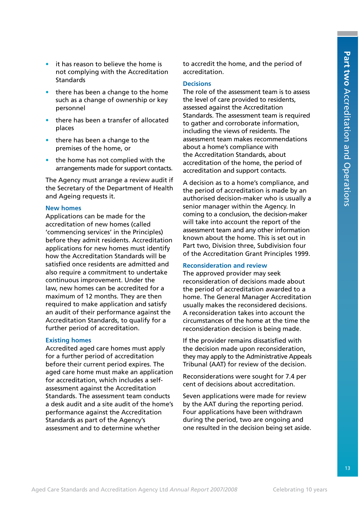- it has reason to believe the home is not complying with the Accreditation **Standards**
- there has been a change to the home such as a change of ownership or key personnel
- there has been a transfer of allocated places
- $\bullet$  there has been a change to the premises of the home, or
- the home has not complied with the arrangements made for support contacts.

The Agency must arrange a review audit if the Secretary of the Department of Health and Ageing requests it.

### **New homes**

Applications can be made for the accreditation of new homes (called 'commencing services' in the Principles) before they admit residents. Accreditation applications for new homes must identify how the Accreditation Standards will be satisfied once residents are admitted and also require a commitment to undertake continuous improvement. Under the law, new homes can be accredited for a maximum of 12 months. They are then required to make application and satisfy an audit of their performance against the Accreditation Standards, to qualify for a further period of accreditation.

### **Existing homes**

Accredited aged care homes must apply for a further period of accreditation before their current period expires. The aged care home must make an application for accreditation, which includes a selfassessment against the Accreditation Standards. The assessment team conducts a desk audit and a site audit of the home's performance against the Accreditation Standards as part of the Agency's assessment and to determine whether

to accredit the home, and the period of accreditation.

### **Decisions**

The role of the assessment team is to assess the level of care provided to residents, assessed against the Accreditation Standards. The assessment team is required to gather and corroborate information, including the views of residents. The assessment team makes recommendations about a home's compliance with the Accreditation Standards, about accreditation of the home, the period of accreditation and support contacts.

A decision as to a home's compliance, and the period of accreditation is made by an authorised decision-maker who is usually a senior manager within the Agency. In coming to a conclusion, the decision-maker will take into account the report of the assessment team and any other information known about the home. This is set out in Part two, Division three, Subdivision four of the Accreditation Grant Principles 1999.

### **Reconsideration and review**

The approved provider may seek reconsideration of decisions made about the period of accreditation awarded to a home. The General Manager Accreditation usually makes the reconsidered decisions. A reconsideration takes into account the circumstances of the home at the time the reconsideration decision is being made.

If the provider remains dissatisfied with the decision made upon reconsideration, they may apply to the Administrative Appeals Tribunal (AAT) for review of the decision.

Reconsiderations were sought for 7.4 per cent of decisions about accreditation.

Seven applications were made for review by the AAT during the reporting period. Four applications have been withdrawn during the period, two are ongoing and one resulted in the decision being set aside.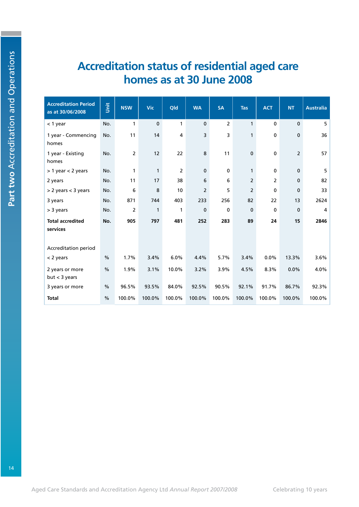## **Accreditation status of residential aged care homes as at 30 June 2008**

| <b>Accreditation Period</b><br>as at 30/06/2008 | š             | <b>NSW</b>     | <b>Vic</b>   | Qld            | <b>WA</b>      | <b>SA</b>      | <b>Tas</b>     | <b>ACT</b>     | <b>NT</b>      | <b>Australia</b> |
|-------------------------------------------------|---------------|----------------|--------------|----------------|----------------|----------------|----------------|----------------|----------------|------------------|
| $<$ 1 year                                      | No.           | $\mathbf{1}$   | $\mathbf 0$  | 1              | $\mathbf 0$    | $\overline{2}$ | $\mathbf{1}$   | $\mathbf 0$    | $\mathbf 0$    | 5                |
| 1 year - Commencing<br>homes                    | No.           | 11             | 14           | 4              | 3              | 3              | $\mathbf{1}$   | $\pmb{0}$      | $\bf{0}$       | 36               |
| 1 year - Existing<br>homes                      | No.           | $\overline{2}$ | 12           | 22             | 8              | 11             | $\pmb{0}$      | $\pmb{0}$      | $\overline{2}$ | 57               |
| $> 1$ year $< 2$ years                          | No.           | $\mathbf{1}$   | $\mathbf{1}$ | $\overline{2}$ | $\mathbf 0$    | $\mathbf 0$    | $\mathbf{1}$   | $\mathbf 0$    | $\mathbf 0$    | 5                |
| 2 years                                         | No.           | 11             | 17           | 38             | 6              | 6              | $\overline{2}$ | $\overline{2}$ | $\mathbf 0$    | 82               |
| $> 2$ years $<$ 3 years                         | No.           | 6              | 8            | 10             | $\overline{2}$ | 5              | $\overline{2}$ | 0              | $\mathbf 0$    | 33               |
| 3 years                                         | No.           | 871            | 744          | 403            | 233            | 256            | 82             | 22             | 13             | 2624             |
| > 3 years                                       | No.           | 2              | 1            | 1              | $\mathbf 0$    | $\mathbf 0$    | $\mathbf 0$    | $\mathbf 0$    | $\mathbf 0$    | 4                |
| <b>Total accredited</b><br>services             | No.           | 905            | 797          | 481            | 252            | 283            | 89             | 24             | 15             | 2846             |
| <b>Accreditation period</b>                     |               |                |              |                |                |                |                |                |                |                  |
| $<$ 2 years                                     | $\%$          | 1.7%           | 3.4%         | 6.0%           | 4.4%           | 5.7%           | 3.4%           | 0.0%           | 13.3%          | 3.6%             |
| 2 years or more<br>but < 3 years                | $\%$          | 1.9%           | 3.1%         | 10.0%          | 3.2%           | 3.9%           | 4.5%           | 8.3%           | 0.0%           | 4.0%             |
| 3 years or more                                 | $\frac{0}{0}$ | 96.5%          | 93.5%        | 84.0%          | 92.5%          | 90.5%          | 92.1%          | 91.7%          | 86.7%          | 92.3%            |
| <b>Total</b>                                    | $\frac{0}{0}$ | 100.0%         | 100.0%       | 100.0%         | 100.0%         | 100.0%         | 100.0%         | 100.0%         | 100.0%         | 100.0%           |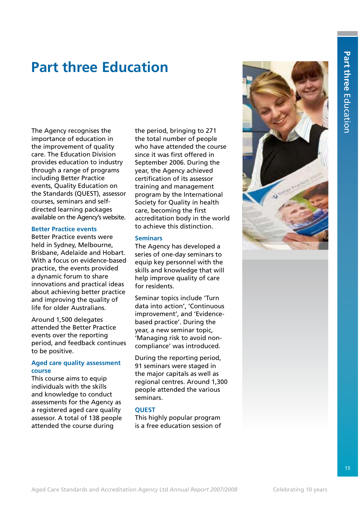# **Part three Education**

The Agency recognises the importance of education in the improvement of quality care. The Education Division provides education to industry through a range of programs including Better Practice events, Quality Education on the Standards (QUEST), assessor courses, seminars and selfdirected learning packages available on the Agency's website.

### **Better Practice events**

Better Practice events were held in Sydney, Melbourne, Brisbane, Adelaide and Hobart. With a focus on evidence-based practice, the events provided a dynamic forum to share innovations and practical ideas about achieving better practice and improving the quality of life for older Australians.

Around 1,500 delegates attended the Better Practice events over the reporting period, and feedback continues to be positive.

### **Aged care quality assessment course**

This course aims to equip individuals with the skills and knowledge to conduct assessments for the Agency as a registered aged care quality assessor. A total of 138 people attended the course during

the period, bringing to 271 the total number of people who have attended the course since it was first offered in September 2006. During the year, the Agency achieved certification of its assessor training and management program by the International Society for Quality in health care, becoming the first accreditation body in the world to achieve this distinction.

### **Seminars**

The Agency has developed a series of one-day seminars to equip key personnel with the skills and knowledge that will help improve quality of care for residents.

Seminar topics include 'Turn data into action', 'Continuous improvement', and 'Evidencebased practice'. During the year, a new seminar topic, 'Managing risk to avoid noncompliance' was introduced.

During the reporting period, 91 seminars were staged in the major capitals as well as regional centres. Around 1,300 people attended the various seminars.

### **QUEST**

This highly popular program is a free education session of

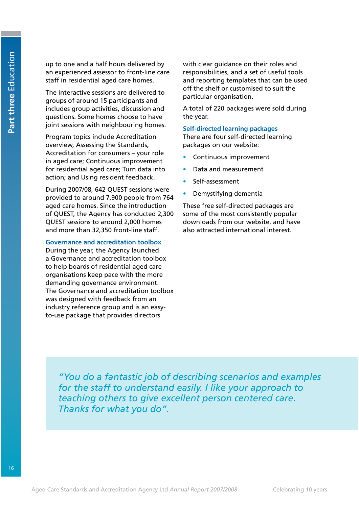up to one and a half hours delivered by an experienced assessor to front-line care staff in residential aged care homes.

The interactive sessions are delivered to groups of around 15 participants and includes group activities, discussion and questions. Some homes choose to have joint sessions with neighbouring homes.

Program topics include Accreditation overview, Assessing the Standards, Accreditation for consumers – your role in aged care; Continuous improvement for residential aged care; Turn data into action; and Using resident feedback.

During 2007/08, 642 QUEST sessions were provided to around 7,900 people from 764 aged care homes. Since the introduction of QUEST, the Agency has conducted 2,300 QUEST sessions to around 2,000 homes and more than 32,350 front-line staff.

### **Governance and accreditation toolbox**

During the year, the Agency launched a Governance and accreditation toolbox to help boards of residential aged care organisations keep pace with the more demanding governance environment. The Governance and accreditation toolbox was designed with feedback from an industry reference group and is an easyto-use package that provides directors

with clear guidance on their roles and responsibilities, and a set of useful tools and reporting templates that can be used off the shelf or customised to suit the particular organisation.

A total of 220 packages were sold during the year.

### **Self-directed learning packages**

There are four self-directed learning packages on our website:

- Continuous improvement
- Data and measurement
- Self-assessment
- Demystifying dementia

These free self-directed packages are some of the most consistently popular downloads from our website, and have also attracted international interest.

*"You do a fantastic job of describing scenarios and examples for the staff to understand easily. I like your approach to teaching others to give excellent person centered care. Thanks for what you do".*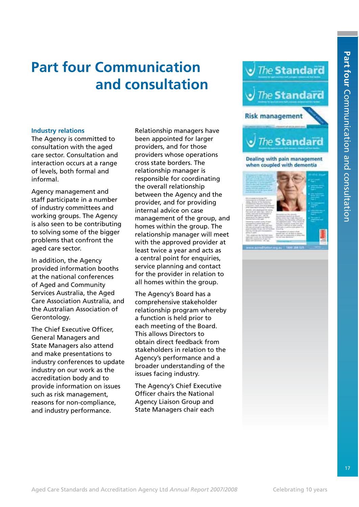# **Part four Communication and consultation**

### **Industry relations**

The Agency is committed to consultation with the aged care sector. Consultation and interaction occurs at a range of levels, both formal and informal.

Agency management and staff participate in a number of industry committees and working groups. The Agency is also seen to be contributing to solving some of the bigger problems that confront the aged care sector.

In addition, the Agency provided information booths at the national conferences of Aged and Community Services Australia, the Aged Care Association Australia, and the Australian Association of Gerontology.

The Chief Executive Officer, General Managers and State Managers also attend and make presentations to industry conferences to update industry on our work as the accreditation body and to provide information on issues such as risk management, reasons for non-compliance, and industry performance.

Relationship managers have been appointed for larger providers, and for those providers whose operations cross state borders. The relationship manager is responsible for coordinating the overall relationship between the Agency and the provider, and for providing internal advice on case management of the group, and homes within the group. The relationship manager will meet with the approved provider at least twice a year and acts as a central point for enquiries, service planning and contact for the provider in relation to all homes within the group.

The Agency's Board has a comprehensive stakeholder relationship program whereby a function is held prior to each meeting of the Board. This allows Directors to obtain direct feedback from stakeholders in relation to the Agency's performance and a broader understanding of the issues facing industry.

The Agency's Chief Executive Officer chairs the National Agency Liaison Group and State Managers chair each



Dealing with pain management when coupled with dementia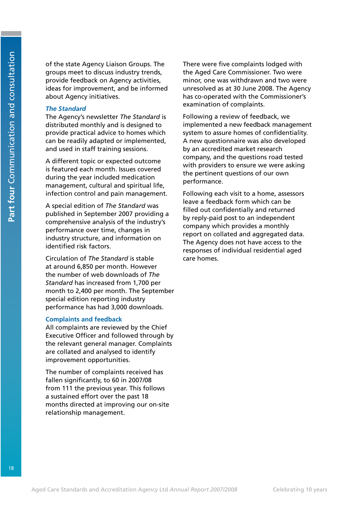of the state Agency Liaison Groups. The groups meet to discuss industry trends, provide feedback on Agency activities, ideas for improvement, and be informed about Agency initiatives.

### *The Standard*

The Agency's newsletter *The Standard* is distributed monthly and is designed to provide practical advice to homes which can be readily adapted or implemented, and used in staff training sessions.

A different topic or expected outcome is featured each month. Issues covered during the year included medication management, cultural and spiritual life, infection control and pain management.

A special edition of *The Standard* was published in September 2007 providing a comprehensive analysis of the industry's performance over time, changes in industry structure, and information on identified risk factors.

Circulation of *The Standard* is stable at around 6,850 per month. However the number of web downloads of *The Standard* has increased from 1,700 per month to 2,400 per month. The September special edition reporting industry performance has had 3,000 downloads.

### **Complaints and feedback**

All complaints are reviewed by the Chief Executive Officer and followed through by the relevant general manager. Complaints are collated and analysed to identify improvement opportunities.

The number of complaints received has fallen significantly, to 60 in 2007/08 from 111 the previous year. This follows a sustained effort over the past 18 months directed at improving our on-site relationship management.

There were five complaints lodged with the Aged Care Commissioner. Two were minor, one was withdrawn and two were unresolved as at 30 June 2008. The Agency has co-operated with the Commissioner's examination of complaints.

Following a review of feedback, we implemented a new feedback management system to assure homes of confidentiality. A new questionnaire was also developed by an accredited market research company, and the questions road tested with providers to ensure we were asking the pertinent questions of our own performance.

Following each visit to a home, assessors leave a feedback form which can be filled out confidentially and returned by reply-paid post to an independent company which provides a monthly report on collated and aggregated data. The Agency does not have access to the responses of individual residential aged care homes.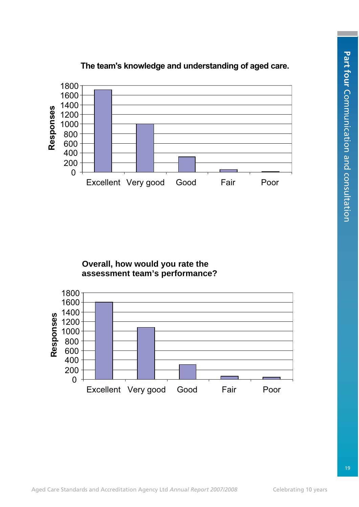

### **The team's knowledge and understanding of aged care.**

### **Overall, how would you rate the assessment team's performance?**

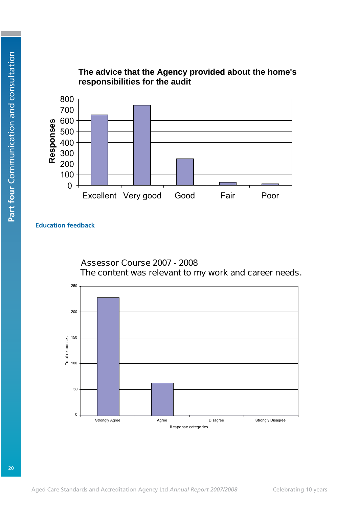

**The advice that the Agency provided about the home's responsibilities for the audit**

**Education feedback**

Assessor Course 2007 - 2008 The content was relevant to my work and career needs.



20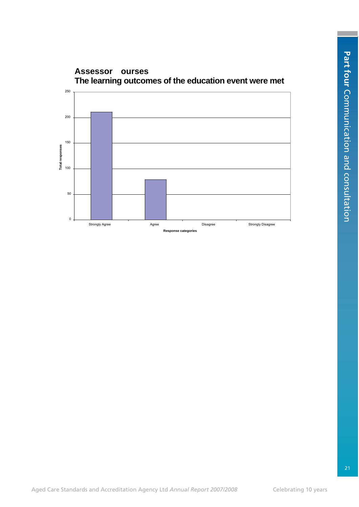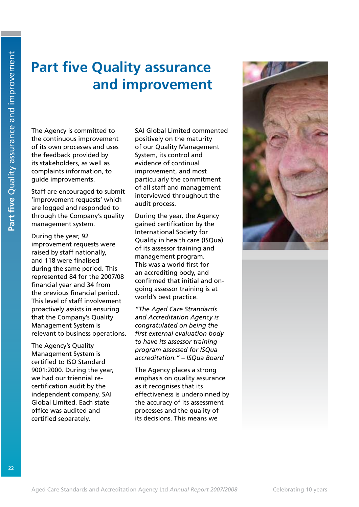# **Part five Quality assurance and improvement**

The Agency is committed to the continuous improvement of its own processes and uses the feedback provided by its stakeholders, as well as complaints information, to guide improvements.

Staff are encouraged to submit 'improvement requests' which are logged and responded to through the Company's quality management system.

During the year, 92 improvement requests were raised by staff nationally, and 118 were finalised during the same period. This represented 84 for the 2007/08 financial year and 34 from the previous financial period. This level of staff involvement proactively assists in ensuring that the Company's Quality Management System is relevant to business operations.

The Agency's Quality Management System is certified to ISO Standard 9001:2000. During the year, we had our triennial recertification audit by the independent company, SAI Global Limited. Each state office was audited and certified separately.

SAI Global Limited commented positively on the maturity of our Quality Management System, its control and evidence of continual improvement, and most particularly the commitment of all staff and management interviewed throughout the audit process.

During the year, the Agency gained certification by the International Society for Quality in health care (ISQua) of its assessor training and management program. This was a world first for an accrediting body, and confirmed that initial and ongoing assessor training is at world's best practice.

*"The Aged Care Strandards and Accreditation Agency is congratulated on being the first external evaluation body to have its assessor training program assessed for ISQua accreditation." – ISQua Board*

The Agency places a strong emphasis on quality assurance as it recognises that its effectiveness is underpinned by the accuracy of its assessment processes and the quality of its decisions. This means we

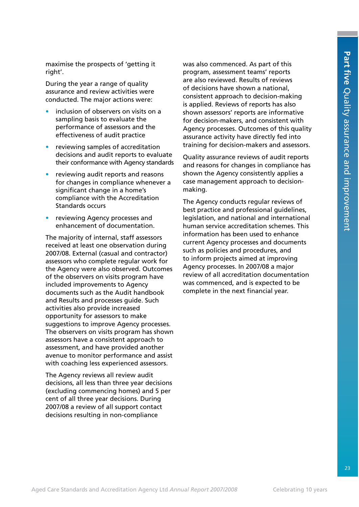maximise the prospects of 'getting it right'.

During the year a range of quality assurance and review activities were conducted. The major actions were:

- inclusion of observers on visits on a sampling basis to evaluate the performance of assessors and the effectiveness of audit practice
- reviewing samples of accreditation decisions and audit reports to evaluate their conformance with Agency standards
- reviewing audit reports and reasons for changes in compliance whenever a significant change in a home's compliance with the Accreditation Standards occurs
- reviewing Agency processes and enhancement of documentation.

The majority of internal, staff assessors received at least one observation during 2007/08. External (casual and contractor) assessors who complete regular work for the Agency were also observed. Outcomes of the observers on visits program have included improvements to Agency documents such as the Audit handbook and Results and processes guide. Such activities also provide increased opportunity for assessors to make suggestions to improve Agency processes. The observers on visits program has shown assessors have a consistent approach to assessment, and have provided another avenue to monitor performance and assist with coaching less experienced assessors.

The Agency reviews all review audit decisions, all less than three year decisions (excluding commencing homes) and 5 per cent of all three year decisions. During 2007/08 a review of all support contact decisions resulting in non-compliance

was also commenced. As part of this program, assessment teams' reports are also reviewed. Results of reviews of decisions have shown a national, consistent approach to decision-making is applied. Reviews of reports has also shown assessors' reports are informative for decision-makers, and consistent with Agency processes. Outcomes of this quality assurance activity have directly fed into training for decision-makers and assessors.

Quality assurance reviews of audit reports and reasons for changes in compliance has shown the Agency consistently applies a case management approach to decisionmaking.

The Agency conducts regular reviews of best practice and professional guidelines, legislation, and national and international human service accreditation schemes. This information has been used to enhance current Agency processes and documents such as policies and procedures, and to inform projects aimed at improving Agency processes. In 2007/08 a major review of all accreditation documentation was commenced, and is expected to be complete in the next financial year.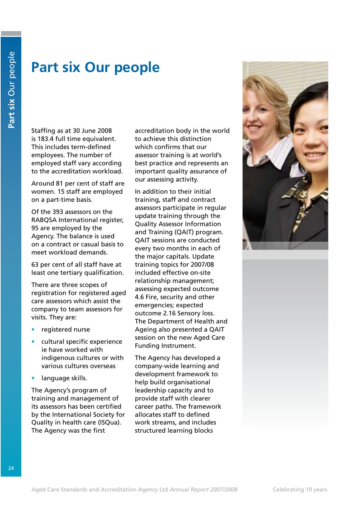# **Part six Our people**

Staffing as at 30 June 2008 is 183.4 full time equivalent. This includes term-defined employees. The number of employed staff vary according to the accreditation workload.

Around 81 per cent of staff are women. 15 staff are employed on a part-time basis.

Of the 393 assessors on the RABQSA International register, 95 are employed by the Agency. The balance is used on a contract or casual basis to meet workload demands.

63 per cent of all staff have at least one tertiary qualification.

There are three scopes of registration for registered aged care assessors which assist the company to team assessors for visits. They are:

- registered nurse
- cultural specific experience ie have worked with indigenous cultures or with various cultures overseas
- language skills.

The Agency's program of training and management of its assessors has been certified by the International Society for Quality in health care (ISQua). The Agency was the first

accreditation body in the world to achieve this distinction which confirms that our assessor training is at world's best practice and represents an important quality assurance of our assessing activity.

In addition to their initial training, staff and contract assessors participate in regular update training through the Quality Assessor Information and Training (QAIT) program. QAIT sessions are conducted every two months in each of the major capitals. Update training topics for 2007/08 included effective on-site relationship management; assessing expected outcome 4.6 Fire, security and other emergencies; expected outcome 2.16 Sensory loss. The Department of Health and Ageing also presented a QAIT session on the new Aged Care Funding Instrument.

The Agency has developed a company-wide learning and development framework to help build organisational leadership capacity and to provide staff with clearer career paths. The framework allocates staff to defined work streams, and includes structured learning blocks

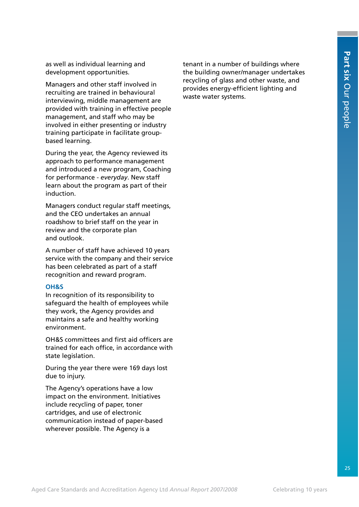as well as individual learning and development opportunities.

Managers and other staff involved in recruiting are trained in behavioural interviewing, middle management are provided with training in effective people management, and staff who may be involved in either presenting or industry training participate in facilitate groupbased learning.

During the year, the Agency reviewed its approach to performance management and introduced a new program, Coaching for performance - *everyday*. New staff learn about the program as part of their induction.

Managers conduct regular staff meetings, and the CEO undertakes an annual roadshow to brief staff on the year in review and the corporate plan and outlook.

A number of staff have achieved 10 years service with the company and their service has been celebrated as part of a staff recognition and reward program.

### **OH&S**

In recognition of its responsibility to safeguard the health of employees while they work, the Agency provides and maintains a safe and healthy working environment.

OH&S committees and first aid officers are trained for each office, in accordance with state legislation.

During the year there were 169 days lost due to injury.

The Agency's operations have a low impact on the environment. Initiatives include recycling of paper, toner cartridges, and use of electronic communication instead of paper-based wherever possible. The Agency is a

tenant in a number of buildings where the building owner/manager undertakes recycling of glass and other waste, and provides energy-efficient lighting and waste water systems.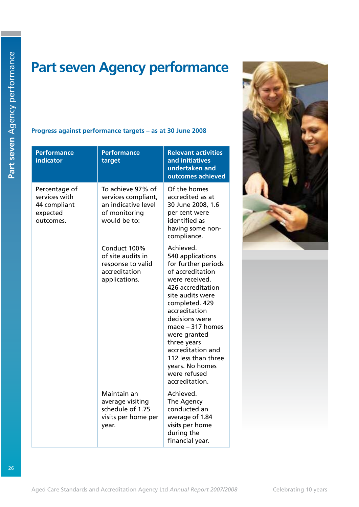# **Part seven Agency performance**

### **Progress against performance targets – as at 30 June 2008**

| <b>Performance</b><br>indicator                                         | <b>Performance</b><br>target                                                                     | <b>Relevant activities</b><br>and initiatives<br>undertaken and<br>outcomes achieved                                                                                                                                                                                                                                                           |
|-------------------------------------------------------------------------|--------------------------------------------------------------------------------------------------|------------------------------------------------------------------------------------------------------------------------------------------------------------------------------------------------------------------------------------------------------------------------------------------------------------------------------------------------|
| Percentage of<br>services with<br>44 compliant<br>expected<br>outcomes. | To achieve 97% of<br>services compliant,<br>an indicative level<br>of monitoring<br>would be to: | Of the homes<br>accredited as at<br>30 June 2008, 1.6<br>per cent were<br>identified as<br>having some non-<br>compliance.                                                                                                                                                                                                                     |
|                                                                         | Conduct 100%<br>of site audits in<br>response to valid<br>accreditation<br>applications.         | Achieved.<br>540 applications<br>for further periods<br>of accreditation<br>were received.<br>426 accreditation<br>site audits were<br>completed. 429<br>accreditation<br>decisions were<br>$made - 317 homes$<br>were granted<br>three years<br>accreditation and<br>112 less than three<br>years. No homes<br>were refused<br>accreditation. |
|                                                                         | Maintain an<br>average visiting<br>schedule of 1.75<br>visits per home per<br>year.              | Achieved.<br>The Agency<br>conducted an<br>average of 1.84<br>visits per home<br>during the<br>financial year.                                                                                                                                                                                                                                 |

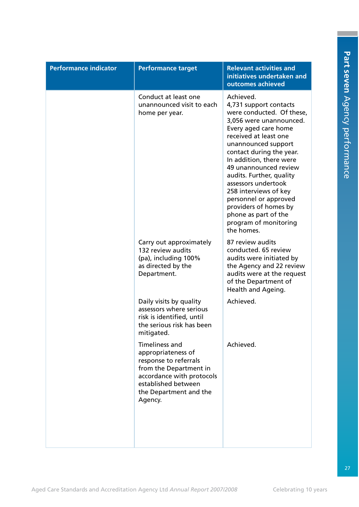| <b>Performance indicator</b> | <b>Performance target</b>                                                                                                                                                               | <b>Relevant activities and</b><br>initiatives undertaken and<br>outcomes achieved                                                                                                                                                                                                                                                                                                                                                                |
|------------------------------|-----------------------------------------------------------------------------------------------------------------------------------------------------------------------------------------|--------------------------------------------------------------------------------------------------------------------------------------------------------------------------------------------------------------------------------------------------------------------------------------------------------------------------------------------------------------------------------------------------------------------------------------------------|
|                              | Conduct at least one<br>unannounced visit to each<br>home per year.                                                                                                                     | Achieved.<br>4,731 support contacts<br>were conducted. Of these,<br>3,056 were unannounced.<br>Every aged care home<br>received at least one<br>unannounced support<br>contact during the year.<br>In addition, there were<br>49 unannounced review<br>audits. Further, quality<br>assessors undertook<br>258 interviews of key<br>personnel or approved<br>providers of homes by<br>phone as part of the<br>program of monitoring<br>the homes. |
|                              | Carry out approximately<br>132 review audits<br>(pa), including 100%<br>as directed by the<br>Department.                                                                               | 87 review audits<br>conducted. 65 review<br>audits were initiated by<br>the Agency and 22 review<br>audits were at the request<br>of the Department of<br>Health and Ageing.                                                                                                                                                                                                                                                                     |
|                              | Daily visits by quality<br>assessors where serious<br>risk is identified, until<br>the serious risk has been<br>mitigated.                                                              | Achieved.                                                                                                                                                                                                                                                                                                                                                                                                                                        |
|                              | <b>Timeliness and</b><br>appropriateness of<br>response to referrals<br>from the Department in<br>accordance with protocols<br>established between<br>the Department and the<br>Agency. | Achieved.                                                                                                                                                                                                                                                                                                                                                                                                                                        |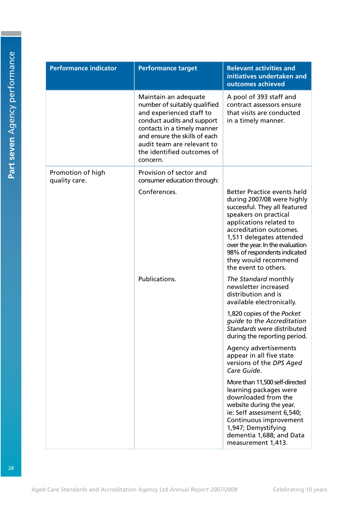| <b>Performance indicator</b>       | <b>Performance target</b>                                                                                                                                                                                                                              | <b>Relevant activities and</b><br>initiatives undertaken and<br>outcomes achieved                                                                                                                                                                                                                                                |
|------------------------------------|--------------------------------------------------------------------------------------------------------------------------------------------------------------------------------------------------------------------------------------------------------|----------------------------------------------------------------------------------------------------------------------------------------------------------------------------------------------------------------------------------------------------------------------------------------------------------------------------------|
|                                    | Maintain an adequate<br>number of suitably qualified<br>and experienced staff to<br>conduct audits and support<br>contacts in a timely manner<br>and ensure the skills of each<br>audit team are relevant to<br>the identified outcomes of<br>concern. | A pool of 393 staff and<br>contract assessors ensure<br>that visits are conducted<br>in a timely manner.                                                                                                                                                                                                                         |
| Promotion of high<br>quality care. | Provision of sector and<br>consumer education through:                                                                                                                                                                                                 |                                                                                                                                                                                                                                                                                                                                  |
|                                    | Conferences.                                                                                                                                                                                                                                           | <b>Better Practice events held</b><br>during 2007/08 were highly<br>successful. They all featured<br>speakers on practical<br>applications related to<br>accreditation outcomes.<br>1,511 delegates attended<br>over the year. In the evaluation<br>98% of respondents indicated<br>they would recommend<br>the event to others. |
|                                    | Publications.                                                                                                                                                                                                                                          | The Standard monthly<br>newsletter increased<br>distribution and is<br>available electronically.                                                                                                                                                                                                                                 |
|                                    |                                                                                                                                                                                                                                                        | 1,820 copies of the Pocket<br>quide to the Accreditation<br><i>Standards</i> were distributed<br>during the reporting period.                                                                                                                                                                                                    |
|                                    |                                                                                                                                                                                                                                                        | Agency advertisements<br>appear in all five state<br>versions of the DPS Aged<br>Care Guide.                                                                                                                                                                                                                                     |
|                                    |                                                                                                                                                                                                                                                        | More than 11,500 self-directed<br>learning packages were<br>downloaded from the<br>website during the year.<br>ie: Self assessment 6,540;<br>Continuous improvement<br>1,947; Demystifying<br>dementia 1,688; and Data<br>measurement 1,413.                                                                                     |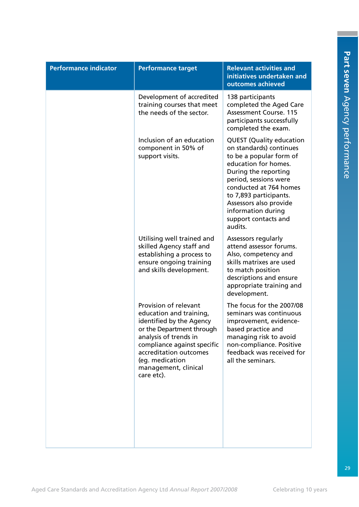| <b>Performance indicator</b> | <b>Performance target</b>                                                                                                                                                                                                                            | <b>Relevant activities and</b><br>initiatives undertaken and<br>outcomes achieved                                                                                                                                                                                                                     |
|------------------------------|------------------------------------------------------------------------------------------------------------------------------------------------------------------------------------------------------------------------------------------------------|-------------------------------------------------------------------------------------------------------------------------------------------------------------------------------------------------------------------------------------------------------------------------------------------------------|
|                              | Development of accredited<br>training courses that meet<br>the needs of the sector.                                                                                                                                                                  | 138 participants<br>completed the Aged Care<br>Assessment Course. 115<br>participants successfully<br>completed the exam.                                                                                                                                                                             |
|                              | Inclusion of an education<br>component in 50% of<br>support visits.                                                                                                                                                                                  | <b>QUEST (Quality education</b><br>on standards) continues<br>to be a popular form of<br>education for homes.<br>During the reporting<br>period, sessions were<br>conducted at 764 homes<br>to 7,893 participants.<br>Assessors also provide<br>information during<br>support contacts and<br>audits. |
|                              | Utilising well trained and<br>skilled Agency staff and<br>establishing a process to<br>ensure ongoing training<br>and skills development.                                                                                                            | Assessors regularly<br>attend assessor forums.<br>Also, competency and<br>skills matrixes are used<br>to match position<br>descriptions and ensure<br>appropriate training and<br>development.                                                                                                        |
|                              | Provision of relevant<br>education and training,<br>identified by the Agency<br>or the Department through<br>analysis of trends in<br>compliance against specific<br>accreditation outcomes<br>(eq. medication<br>management, clinical<br>care etc). | The focus for the 2007/08<br>seminars was continuous<br>improvement, evidence-<br>based practice and<br>managing risk to avoid<br>non-compliance. Positive<br>feedback was received for<br>all the seminars.                                                                                          |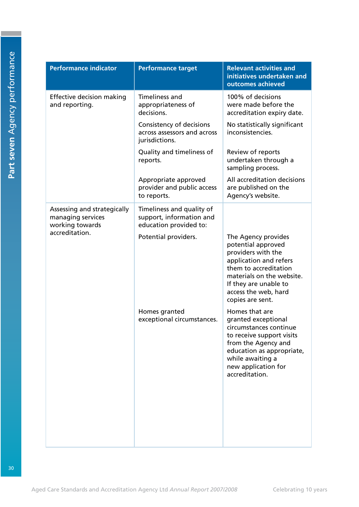| <b>Performance indicator</b>                                        | <b>Performance target</b>                                                       | <b>Relevant activities and</b><br>initiatives undertaken and<br>outcomes achieved                                                                                                                                    |
|---------------------------------------------------------------------|---------------------------------------------------------------------------------|----------------------------------------------------------------------------------------------------------------------------------------------------------------------------------------------------------------------|
| <b>Effective decision making</b><br>and reporting.                  | <b>Timeliness and</b><br>appropriateness of<br>decisions.                       | 100% of decisions<br>were made before the<br>accreditation expiry date.                                                                                                                                              |
|                                                                     | Consistency of decisions<br>across assessors and across<br>jurisdictions.       | No statistically significant<br>inconsistencies.                                                                                                                                                                     |
|                                                                     | Quality and timeliness of<br>reports.                                           | Review of reports<br>undertaken through a<br>sampling process.                                                                                                                                                       |
|                                                                     | Appropriate approved<br>provider and public access<br>to reports.               | All accreditation decisions<br>are published on the<br>Agency's website.                                                                                                                                             |
| Assessing and strategically<br>managing services<br>working towards | Timeliness and quality of<br>support, information and<br>education provided to: |                                                                                                                                                                                                                      |
| accreditation.                                                      | Potential providers.                                                            | The Agency provides<br>potential approved<br>providers with the<br>application and refers<br>them to accreditation<br>materials on the website.<br>If they are unable to<br>access the web, hard<br>copies are sent. |
|                                                                     | Homes granted<br>exceptional circumstances.                                     | Homes that are<br>granted exceptional<br>circumstances continue<br>to receive support visits<br>from the Agency and<br>education as appropriate,<br>while awaiting a<br>new application for<br>accreditation.        |
|                                                                     |                                                                                 |                                                                                                                                                                                                                      |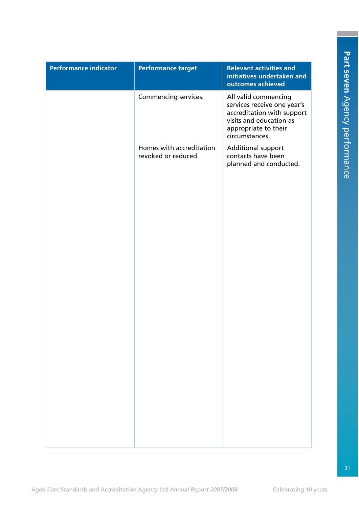| <b>Performance indicator</b> | <b>Performance target</b>                       | <b>Relevant activities and</b><br>initiatives undertaken and<br>outcomes achieved                                                                      |
|------------------------------|-------------------------------------------------|--------------------------------------------------------------------------------------------------------------------------------------------------------|
|                              | Commencing services.                            | All valid commencing<br>services receive one year's<br>accreditation with support<br>visits and education as<br>appropriate to their<br>circumstances. |
|                              | Homes with accreditation<br>revoked or reduced. | <b>Additional support</b><br>contacts have been<br>planned and conducted.                                                                              |
|                              |                                                 |                                                                                                                                                        |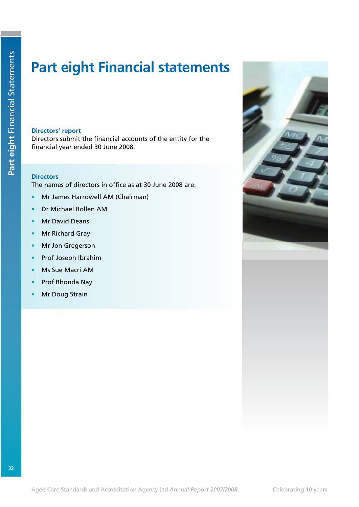# **Part eight Financial statements**

### **Directors' report**

Directors submit the financial accounts of the entity for the financial year ended 30 June 2008.

### **Directors**

The names of directors in office as at 30 June 2008 are:

- Mr James Harrowell AM (Chairman)
- Dr Michael Bollen AM
- **Mr David Deans**
- **Mr Richard Gray**
- Mr Jon Gregerson
- Prof Joseph Ibrahim
- **Ms Sue Macri AM**
- Prof Rhonda Nay
- **Mr Doug Strain**

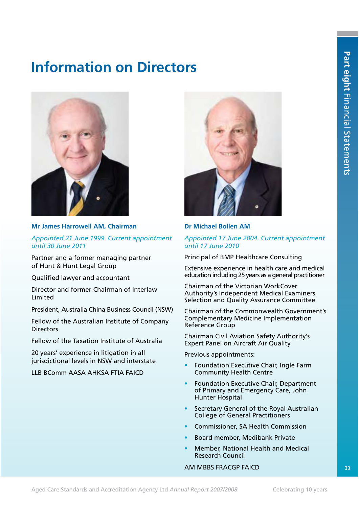# **Information on Directors**



### **Mr James Harrowell AM, Chairman**

*Appointed 21 June 1999. Current appointment until 30 June 2011*

Partner and a former managing partner of Hunt & Hunt Legal Group

Qualified lawyer and accountant

Director and former Chairman of Interlaw Limited

President, Australia China Business Council (NSW)

Fellow of the Australian Institute of Company **Directors** 

Fellow of the Taxation Institute of Australia

20 years' experience in litigation in all jurisdictional levels in NSW and interstate

LLB BComm AASA AHKSA FTIA FAICD



### **Dr Michael Bollen AM**

### *Appointed 17 June 2004. Current appointment until 17 June 2010*

Principal of BMP Healthcare Consulting

Extensive experience in health care and medical education including 25 years as a general practitioner

Chairman of the Victorian WorkCover Authority's Independent Medical Examiners Selection and Quality Assurance Committee

Chairman of the Commonwealth Government's Complementary Medicine Implementation Reference Group

Chairman Civil Aviation Safety Authority's Expert Panel on Aircraft Air Quality

Previous appointments:

- Foundation Executive Chair, Ingle Farm Community Health Centre
- Foundation Executive Chair, Department of Primary and Emergency Care, John Hunter Hospital
- Secretary General of the Royal Australian College of General Practitioners
- Commissioner, SA Health Commission
- Board member, Medibank Private
- Member, National Health and Medical Research Council

### AM MBBS FRACGP FAICD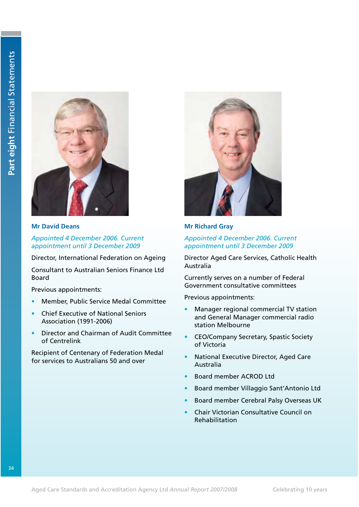

**Mr David Deans**

*Appointed 4 December 2006. Current appointment until 3 December 2009*

Director, International Federation on Ageing

Consultant to Australian Seniors Finance Ltd Board

Previous appointments:

- Member, Public Service Medal Committee
- s Chief Executive of National Seniors Association (1991-2006)
- Director and Chairman of Audit Committee of Centrelink

Recipient of Centenary of Federation Medal for services to Australians 50 and over



**Mr Richard Gray**

### *Appointed 4 December 2006. Current appointment until 3 December 2009*

Director Aged Care Services, Catholic Health Australia

Currently serves on a number of Federal Government consultative committees

Previous appointments:

- Manager regional commercial TV station and General Manager commercial radio station Melbourne
- CEO/Company Secretary, Spastic Society of Victoria
- National Executive Director, Aged Care Australia
- s Board member ACROD Ltd
- s Board member Villaggio Sant'Antonio Ltd
- s Board member Cerebral Palsy Overseas UK
- s Chair Victorian Consultative Council on Rehabilitation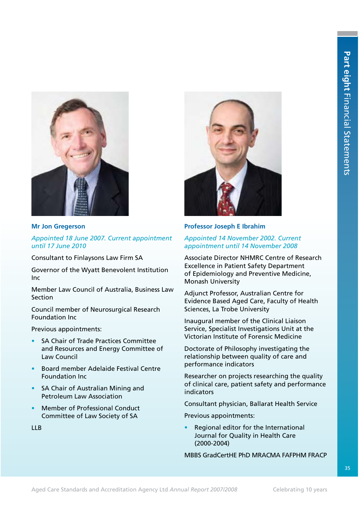

### **Mr Jon Gregerson**

*Appointed 18 June 2007. Current appointment until 17 June 2010*

Consultant to Finlaysons Law Firm SA

Governor of the Wyatt Benevolent Institution Inc

Member Law Council of Australia, Business Law Section

Council member of Neurosurgical Research Foundation Inc

Previous appointments:

- SA Chair of Trade Practices Committee and Resources and Energy Committee of Law Council
- s Board member Adelaide Festival Centre Foundation Inc
- SA Chair of Australian Mining and Petroleum Law Association
- Member of Professional Conduct Committee of Law Society of SA

LLB



### **Professor Joseph E Ibrahim**

### *Appointed 14 November 2002. Current appointment until 14 November 2008*

Associate Director NHMRC Centre of Research Excellence in Patient Safety Department of Epidemiology and Preventive Medicine, Monash University

Adjunct Professor, Australian Centre for Evidence Based Aged Care, Faculty of Health Sciences, La Trobe University

Inaugural member of the Clinical Liaison Service, Specialist Investigations Unit at the Victorian Institute of Forensic Medicine

Doctorate of Philosophy investigating the relationship between quality of care and performance indicators

Researcher on projects researching the quality of clinical care, patient safety and performance indicators

Consultant physician, Ballarat Health Service

Previous appointments:

Regional editor for the International Journal for Quality in Health Care (2000-2004)

MBBS GradCertHE PhD MRACMA FAFPHM FRACP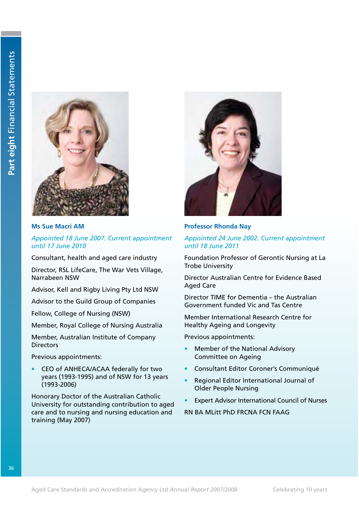

### **Ms Sue Macri AM**

*Appointed 18 June 2007. Current appointment until 17 June 2010*

Consultant, health and aged care industry

Director, RSL LifeCare, The War Vets Village, Narrabeen NSW

Advisor, Kell and Rigby Living Pty Ltd NSW

Advisor to the Guild Group of Companies

Fellow, College of Nursing (NSW)

Member, Royal College of Nursing Australia

Member, Australian Institute of Company **Directors** 

Previous appointments:

CEO of ANHECA/ACAA federally for two years (1993-1995) and of NSW for 13 years (1993-2006)

Honorary Doctor of the Australian Catholic University for outstanding contribution to aged care and to nursing and nursing education and training (May 2007)



### **Professor Rhonda Nay**

### *Appointed 24 June 2002. Current appointment until 18 June 2011*

Foundation Professor of Gerontic Nursing at La Trobe University

Director Australian Centre for Evidence Based Aged Care

Director TIME for Dementia – the Australian Government funded Vic and Tas Centre

Member International Research Centre for Healthy Ageing and Longevity

Previous appointments:

- Member of the National Advisory Committee on Ageing
- s Consultant Editor Coroner's Communiqué
- Regional Editor International Journal of Older People Nursing
- **Expert Advisor International Council of Nurses**

RN BA MLitt PhD FRCNA FCN FAAG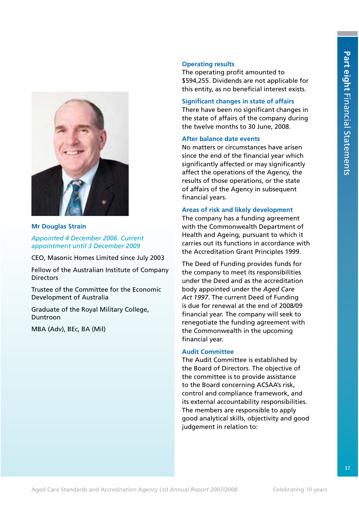

### **Mr Douglas Strain**

*Appointed 4 December 2006. Current appointment until 3 December 2009*

CEO, Masonic Homes Limited since July 2003

Fellow of the Australian Institute of Company **Directors** 

Trustee of the Committee for the Economic Development of Australia

Graduate of the Royal Military College, Duntroon

MBA (Adv), BEc, BA (Mil)

### **Operating results**

The operating profit amounted to \$594,255. Dividends are not applicable for this entity, as no beneficial interest exists.

### **Significant changes in state of affairs**

There have been no significant changes in the state of affairs of the company during the twelve months to 30 June, 2008.

### **After balance date events**

No matters or circumstances have arisen since the end of the financial year which significantly affected or may significantly affect the operations of the Agency, the results of those operations, or the state of affairs of the Agency in subsequent financial years.

### **Areas of risk and likely development**

The company has a funding agreement with the Commonwealth Department of Health and Ageing, pursuant to which it carries out its functions in accordance with the Accreditation Grant Principles 1999.

The Deed of Funding provides funds for the company to meet its responsibilities under the Deed and as the accreditation body appointed under the *Aged Care Act 1997*. The current Deed of Funding is due for renewal at the end of 2008/09 financial year. The company will seek to renegotiate the funding agreement with the Commonwealth in the upcoming financial year.

### **Audit Committee**

The Audit Committee is established by the Board of Directors. The objective of the committee is to provide assistance to the Board concerning ACSAA's risk, control and compliance framework, and its external accountability responsibilities. The members are responsible to apply good analytical skills, objectivity and good judgement in relation to: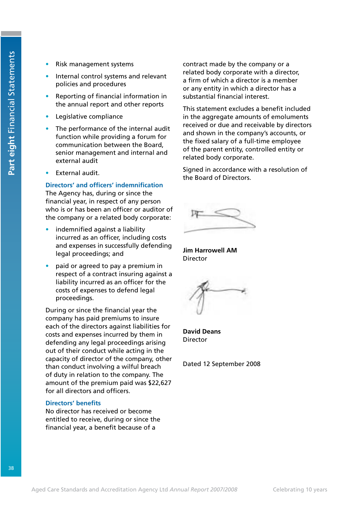- Risk management systems
- Internal control systems and relevant policies and procedures
- Reporting of financial information in the annual report and other reports
- Legislative compliance
- The performance of the internal audit function while providing a forum for communication between the Board, senior management and internal and external audit
- External audit.

### **Directors' and officers' indemnification**

The Agency has, during or since the financial year, in respect of any person who is or has been an officer or auditor of the company or a related body corporate:

- indemnified against a liability incurred as an officer, including costs and expenses in successfully defending legal proceedings; and
- paid or agreed to pay a premium in respect of a contract insuring against a liability incurred as an officer for the costs of expenses to defend legal proceedings.

During or since the financial year the company has paid premiums to insure each of the directors against liabilities for costs and expenses incurred by them in defending any legal proceedings arising out of their conduct while acting in the capacity of director of the company, other than conduct involving a wilful breach of duty in relation to the company. The amount of the premium paid was \$22,627 for all directors and officers.

### **Directors' benefits**

No director has received or become entitled to receive, during or since the financial year, a benefit because of a

contract made by the company or a related body corporate with a director, a firm of which a director is a member or any entity in which a director has a substantial financial interest.

This statement excludes a benefit included in the aggregate amounts of emoluments received or due and receivable by directors and shown in the company's accounts, or the fixed salary of a full-time employee of the parent entity, controlled entity or related body corporate.

Signed in accordance with a resolution of the Board of Directors.

**Jim Harrowell AM Director** 

**David Deans** Director

Dated 12 September 2008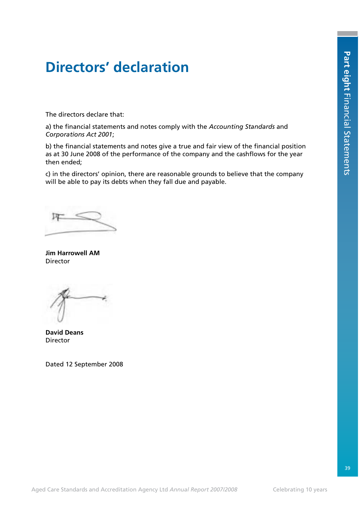# **Directors' declaration**

The directors declare that:

a) the financial statements and notes comply with the *Accounting Standards* and *Corporations Act 2001*;

b) the financial statements and notes give a true and fair view of the financial position as at 30 June 2008 of the performance of the company and the cashflows for the year then ended;

c) in the directors' opinion, there are reasonable grounds to believe that the company will be able to pay its debts when they fall due and payable.

**Jim Harrowell AM** Director

**David Deans** Director

Dated 12 September 2008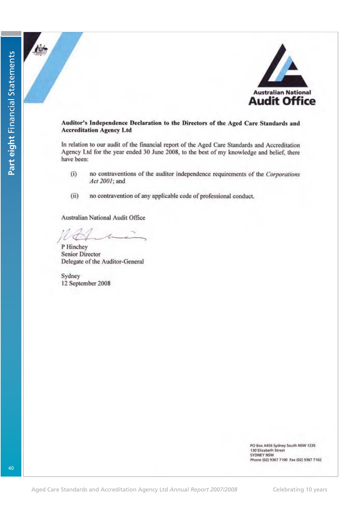

### Auditor's Independence Declaration to the Directors of the Aged Care Standards and **Accreditation Agency Ltd**

In relation to our audit of the financial report of the Aged Care Standards and Accreditation Agency Ltd for the year ended 30 June 2008, to the best of my knowledge and belief, there have been:

- $(i)$ no contraventions of the auditor independence requirements of the Corporations Act 2001; and
- $(ii)$ no contravention of any applicable code of professional conduct.

Australian National Audit Office

P Hinchey **Senior Director** Delegate of the Auditor-General

Sydney 12 September 2008

> PO Box A456 Sydney South NSW 1235 130 Elizabeth Street **SYDNEY NSW** Phone (02) 9367 7100 Fax (02) 9367 7102

Part eight Financial Statements **Part eight** Financial Statements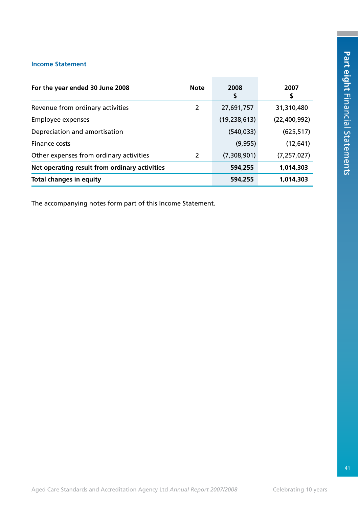### **Income Statement**

| For the year ended 30 June 2008               | <b>Note</b> | 2008<br>S      | 2007          |
|-----------------------------------------------|-------------|----------------|---------------|
| Revenue from ordinary activities              | 2           | 27,691,757     | 31,310,480    |
| Employee expenses                             |             | (19, 238, 613) | (22,400,992)  |
| Depreciation and amortisation                 |             | (540, 033)     | (625, 517)    |
| Finance costs                                 |             | (9, 955)       | (12, 641)     |
| Other expenses from ordinary activities       | 2           | (7,308,901)    | (7, 257, 027) |
| Net operating result from ordinary activities |             | 594,255        | 1,014,303     |
| <b>Total changes in equity</b>                |             | 594,255        | 1,014,303     |

The accompanying notes form part of this Income Statement.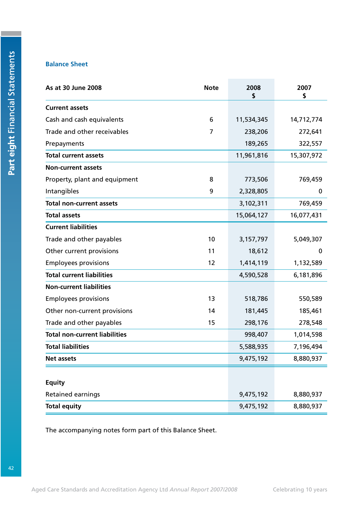### **Balance Sheet**

| As at 30 June 2008                   | <b>Note</b> | 2008<br>\$ | 2007<br>\$ |
|--------------------------------------|-------------|------------|------------|
| <b>Current assets</b>                |             |            |            |
| Cash and cash equivalents            | 6           | 11,534,345 | 14,712,774 |
| Trade and other receivables          | 7           | 238,206    | 272,641    |
| Prepayments                          |             | 189,265    | 322,557    |
| <b>Total current assets</b>          |             | 11,961,816 | 15,307,972 |
| <b>Non-current assets</b>            |             |            |            |
| Property, plant and equipment        | 8           | 773,506    | 769,459    |
| Intangibles                          | 9           | 2,328,805  | 0          |
| <b>Total non-current assets</b>      |             | 3,102,311  | 769,459    |
| <b>Total assets</b>                  |             | 15,064,127 | 16,077,431 |
| <b>Current liabilities</b>           |             |            |            |
| Trade and other payables             | 10          | 3,157,797  | 5,049,307  |
| Other current provisions             | 11          | 18,612     | 0          |
| <b>Employees provisions</b>          | 12          | 1,414,119  | 1,132,589  |
| <b>Total current liabilities</b>     |             | 4,590,528  | 6,181,896  |
| <b>Non-current liabilities</b>       |             |            |            |
| <b>Employees provisions</b>          | 13          | 518,786    | 550,589    |
| Other non-current provisions         | 14          | 181,445    | 185,461    |
| Trade and other payables             | 15          | 298,176    | 278,548    |
| <b>Total non-current liabilities</b> |             | 998,407    | 1,014,598  |
| <b>Total liabilities</b>             |             | 5,588,935  | 7,196,494  |
| <b>Net assets</b>                    |             | 9,475,192  | 8,880,937  |
| <b>Equity</b>                        |             |            |            |
| <b>Retained earnings</b>             |             | 9,475,192  | 8,880,937  |
| <b>Total equity</b>                  |             | 9,475,192  | 8,880,937  |

The accompanying notes form part of this Balance Sheet.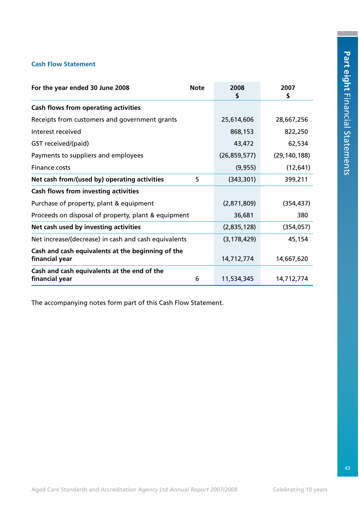### **Cash Flow Statement**

| For the year ended 30 June 2008                                     | <b>Note</b> | 2008<br>\$     | 2007<br>\$     |
|---------------------------------------------------------------------|-------------|----------------|----------------|
| <b>Cash flows from operating activities</b>                         |             |                |                |
| Receipts from customers and government grants                       |             | 25,614,606     | 28,667,256     |
| Interest received                                                   |             | 868,153        | 822,250        |
| GST received/(paid)                                                 |             | 43,472         | 62,534         |
| Payments to suppliers and employees                                 |             | (26, 859, 577) | (29, 140, 188) |
| Finance costs                                                       |             | (9, 955)       | (12, 641)      |
| Net cash from/(used by) operating activities                        | 5           | (343, 301)     | 399,211        |
| <b>Cash flows from investing activities</b>                         |             |                |                |
| Purchase of property, plant & equipment                             |             | (2,871,809)    | (354, 437)     |
| Proceeds on disposal of property, plant & equipment                 |             | 36,681         | 380            |
| Net cash used by investing activities                               |             | (2,835,128)    | (354, 057)     |
| Net increase/(decrease) in cash and cash equivalents                |             | (3, 178, 429)  | 45,154         |
| Cash and cash equivalents at the beginning of the<br>financial year |             | 14,712,774     | 14,667,620     |
| Cash and cash equivalents at the end of the<br>financial year       | 6           | 11,534,345     | 14,712,774     |

The accompanying notes form part of this Cash Flow Statement.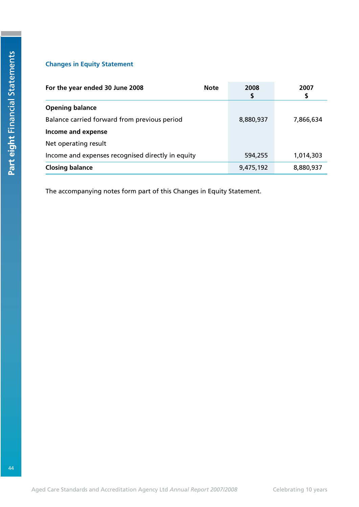### **Changes in Equity Statement**

| For the year ended 30 June 2008                   | <b>Note</b> | 2008<br>\$ | 2007      |
|---------------------------------------------------|-------------|------------|-----------|
| <b>Opening balance</b>                            |             |            |           |
| Balance carried forward from previous period      |             | 8,880,937  | 7,866,634 |
| Income and expense                                |             |            |           |
| Net operating result                              |             |            |           |
| Income and expenses recognised directly in equity |             | 594,255    | 1,014,303 |
| <b>Closing balance</b>                            |             | 9,475,192  | 8,880,937 |

The accompanying notes form part of this Changes in Equity Statement.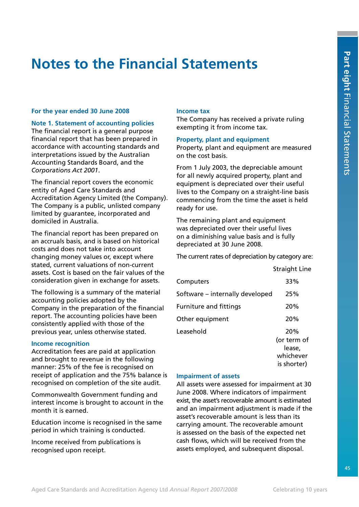# **Notes to the Financial Statements**

### **For the year ended 30 June 2008**

**Note 1. Statement of accounting policies**  The financial report is a general purpose financial report that has been prepared in accordance with accounting standards and interpretations issued by the Australian Accounting Standards Board, and the *Corporations Act 2001*.

The financial report covers the economic entity of Aged Care Standards and Accreditation Agency Limited (the Company). The Company is a public, unlisted company limited by guarantee, incorporated and domiciled in Australia.

The financial report has been prepared on an accruals basis, and is based on historical costs and does not take into account changing money values or, except where stated, current valuations of non-current assets. Cost is based on the fair values of the consideration given in exchange for assets.

The following is a summary of the material accounting policies adopted by the Company in the preparation of the financial report. The accounting policies have been consistently applied with those of the previous year, unless otherwise stated.

### **Income recognition**

Accreditation fees are paid at application and brought to revenue in the following manner: 25% of the fee is recognised on receipt of application and the 75% balance is recognised on completion of the site audit.

Commonwealth Government funding and interest income is brought to account in the month it is earned.

Education income is recognised in the same period in which training is conducted.

Income received from publications is recognised upon receipt.

### **Income tax**

The Company has received a private ruling exempting it from income tax.

### **Property, plant and equipment**

Property, plant and equipment are measured on the cost basis.

From 1 July 2003, the depreciable amount for all newly acquired property, plant and equipment is depreciated over their useful lives to the Company on a straight-line basis commencing from the time the asset is held ready for use.

The remaining plant and equipment was depreciated over their useful lives on a diminishing value basis and is fully depreciated at 30 June 2008.

The current rates of depreciation by category are:

Straight Line

| Computers                       | 33%         |
|---------------------------------|-------------|
| Software – internally developed | 25%         |
| <b>Furniture and fittings</b>   | 20%         |
| Other equipment                 | 20%         |
| Leasehold                       | 20%         |
|                                 | (or term of |
|                                 | lease,      |
|                                 | whichever   |
|                                 | is shorter) |

### **Impairment of assets**

All assets were assessed for impairment at 30 June 2008. Where indicators of impairment exist, the asset's recoverable amount is estimated and an impairment adjustment is made if the asset's recoverable amount is less than its carrying amount. The recoverable amount is assessed on the basis of the expected net cash flows, which will be received from the assets employed, and subsequent disposal.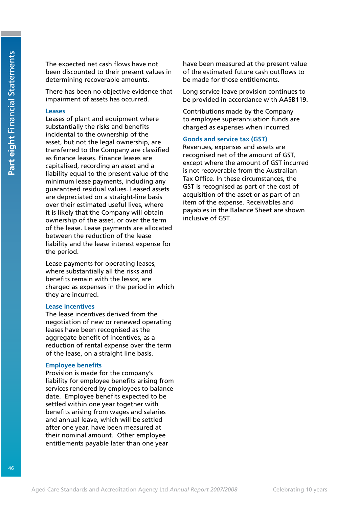The expected net cash flows have not been discounted to their present values in determining recoverable amounts.

There has been no objective evidence that impairment of assets has occurred.

### **Leases**

Leases of plant and equipment where substantially the risks and benefits incidental to the ownership of the asset, but not the legal ownership, are transferred to the Company are classified as finance leases. Finance leases are capitalised, recording an asset and a liability equal to the present value of the minimum lease payments, including any guaranteed residual values. Leased assets are depreciated on a straight-line basis over their estimated useful lives, where it is likely that the Company will obtain ownership of the asset, or over the term of the lease. Lease payments are allocated between the reduction of the lease liability and the lease interest expense for the period.

Lease payments for operating leases, where substantially all the risks and benefits remain with the lessor, are charged as expenses in the period in which they are incurred.

### **Lease incentives**

The lease incentives derived from the negotiation of new or renewed operating leases have been recognised as the aggregate benefit of incentives, as a reduction of rental expense over the term of the lease, on a straight line basis.

### **Employee benefits**

Provision is made for the company's liability for employee benefits arising from services rendered by employees to balance date. Employee benefits expected to be settled within one year together with benefits arising from wages and salaries and annual leave, which will be settled after one year, have been measured at their nominal amount. Other employee entitlements payable later than one year

have been measured at the present value of the estimated future cash outflows to be made for those entitlements.

Long service leave provision continues to be provided in accordance with AASB119.

Contributions made by the Company to employee superannuation funds are charged as expenses when incurred.

### **Goods and service tax (GST)**

Revenues, expenses and assets are recognised net of the amount of GST, except where the amount of GST incurred is not recoverable from the Australian Tax Office. In these circumstances, the GST is recognised as part of the cost of acquisition of the asset or as part of an item of the expense. Receivables and payables in the Balance Sheet are shown inclusive of GST.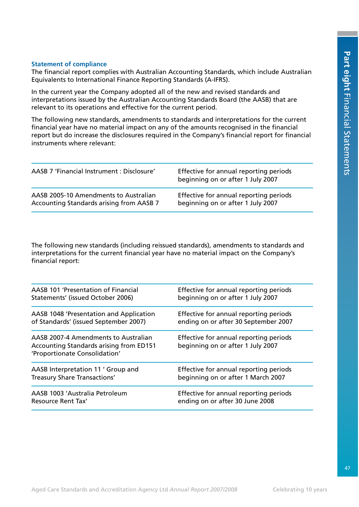### **Statement of compliance**

The financial report complies with Australian Accounting Standards, which include Australian Equivalents to International Finance Reporting Standards (A-IFRS).

In the current year the Company adopted all of the new and revised standards and interpretations issued by the Australian Accounting Standards Board (the AASB) that are relevant to its operations and effective for the current period.

The following new standards, amendments to standards and interpretations for the current financial year have no material impact on any of the amounts recognised in the financial report but do increase the disclosures required in the Company's financial report for financial instruments where relevant:

| AASB 7 'Financial Instrument : Disclosure' | Effective for annual reporting periods<br>beginning on or after 1 July 2007 |
|--------------------------------------------|-----------------------------------------------------------------------------|
| AASB 2005-10 Amendments to Australian      | Effective for annual reporting periods                                      |
| Accounting Standards arising from AASB 7   | beginning on or after 1 July 2007                                           |

The following new standards (including reissued standards), amendments to standards and interpretations for the current financial year have no material impact on the Company's financial report:

| AASB 101 'Presentation of Financial                                                                              | Effective for annual reporting periods                                      |
|------------------------------------------------------------------------------------------------------------------|-----------------------------------------------------------------------------|
| Statements' (issued October 2006)                                                                                | beginning on or after 1 July 2007                                           |
| AASB 1048 'Presentation and Application                                                                          | Effective for annual reporting periods                                      |
| of Standards' (issued September 2007)                                                                            | ending on or after 30 September 2007                                        |
| AASB 2007-4 Amendments to Australian<br>Accounting Standards arising from ED151<br>'Proportionate Consolidation' | Effective for annual reporting periods<br>beginning on or after 1 July 2007 |
| AASB Interpretation 11 ' Group and                                                                               | Effective for annual reporting periods                                      |
| Treasury Share Transactions'                                                                                     | beginning on or after 1 March 2007                                          |
| AASB 1003 'Australia Petroleum                                                                                   | Effective for annual reporting periods                                      |
| Resource Rent Tax'                                                                                               | ending on or after 30 June 2008                                             |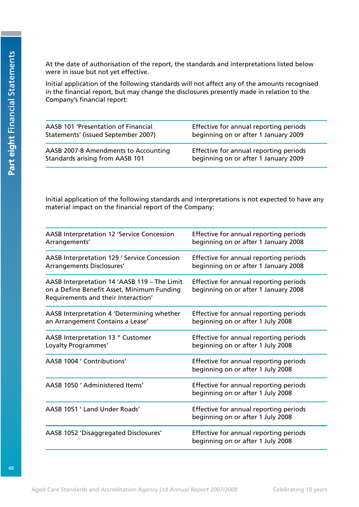At the date of authorisation of the report, the standards and interpretations listed below were in issue but not yet effective.

Initial application of the following standards will not affect any of the amounts recognised in the financial report, but may change the disclosures presently made in relation to the Company's financial report:

| AASB 101 'Presentation of Financial  | Effective for annual reporting periods |
|--------------------------------------|----------------------------------------|
| Statements' (issued September 2007)  | beginning on or after 1 January 2009   |
| AASB 2007-8 Amendments to Accounting | Effective for annual reporting periods |
| Standards arising from AASB 101      | beginning on or after 1 January 2009   |

Initial application of the following standards and interpretations is not expected to have any material impact on the financial report of the Company:

| AASB Interpretation 12 'Service Concession<br>Arrangements'                                                                       | Effective for annual reporting periods<br>beginning on or after 1 January 2008 |
|-----------------------------------------------------------------------------------------------------------------------------------|--------------------------------------------------------------------------------|
| AASB Interpretation 129 ' Service Concession<br><b>Arrangements Disclosures'</b>                                                  | Effective for annual reporting periods<br>beginning on or after 1 January 2008 |
| AASB Interpretation 14 'AASB 119 - The Limit<br>on a Define Benefit Asset, Minimum Funding<br>Requirements and their Interaction' | Effective for annual reporting periods<br>beginning on or after 1 January 2008 |
| AASB Interpretation 4 'Determining whether<br>an Arrangement Contains a Lease'                                                    | Effective for annual reporting periods<br>beginning on or after 1 July 2008    |
| AASB Interpretation 13 " Customer<br>Loyalty Programmes'                                                                          | Effective for annual reporting periods<br>beginning on or after 1 July 2008    |
| AASB 1004 ' Contributions'                                                                                                        | Effective for annual reporting periods<br>beginning on or after 1 July 2008    |
| AASB 1050 ' Administered Items'                                                                                                   | Effective for annual reporting periods<br>beginning on or after 1 July 2008    |
| AASB 1051 ' Land Under Roads'                                                                                                     | Effective for annual reporting periods<br>beginning on or after 1 July 2008    |
| AASB 1052 'Disaggregated Disclosures'                                                                                             | Effective for annual reporting periods<br>beginning on or after 1 July 2008    |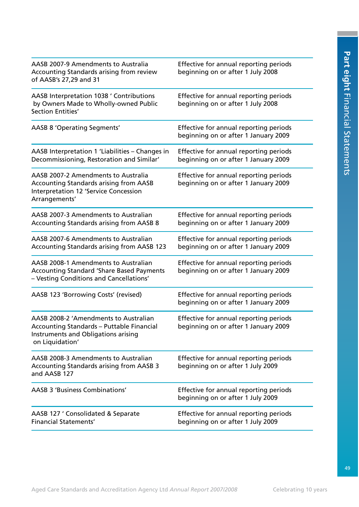| AASB 2007-9 Amendments to Australia<br>Accounting Standards arising from review<br>of AASB's 27,29 and 31                                             | Effective for annual reporting periods<br>beginning on or after 1 July 2008    |
|-------------------------------------------------------------------------------------------------------------------------------------------------------|--------------------------------------------------------------------------------|
| AASB Interpretation 1038 ' Contributions<br>by Owners Made to Wholly-owned Public<br>Section Entities'                                                | Effective for annual reporting periods<br>beginning on or after 1 July 2008    |
| <b>AASB 8 'Operating Segments'</b>                                                                                                                    | Effective for annual reporting periods<br>beginning on or after 1 January 2009 |
| AASB Interpretation 1 'Liabilities - Changes in<br>Decommissioning, Restoration and Similar'                                                          | Effective for annual reporting periods<br>beginning on or after 1 January 2009 |
| AASB 2007-2 Amendments to Australia<br><b>Accounting Standards arising from AASB</b><br><b>Interpretation 12 'Service Concession</b><br>Arrangements' | Effective for annual reporting periods<br>beginning on or after 1 January 2009 |
| AASB 2007-3 Amendments to Australian<br><b>Accounting Standards arising from AASB 8</b>                                                               | Effective for annual reporting periods<br>beginning on or after 1 January 2009 |
| AASB 2007-6 Amendments to Australian<br><b>Accounting Standards arising from AASB 123</b>                                                             | Effective for annual reporting periods<br>beginning on or after 1 January 2009 |
| AASB 2008-1 Amendments to Australian<br><b>Accounting Standard 'Share Based Payments</b><br>- Vesting Conditions and Cancellations'                   | Effective for annual reporting periods<br>beginning on or after 1 January 2009 |
| AASB 123 'Borrowing Costs' (revised)                                                                                                                  | Effective for annual reporting periods<br>beginning on or after 1 January 2009 |
| AASB 2008-2 'Amendments to Australian<br>Accounting Standards - Puttable Financial<br>Instruments and Obligations arising<br>on Liquidation'          | Effective for annual reporting periods<br>beginning on or after 1 January 2009 |
| AASB 2008-3 Amendments to Australian<br><b>Accounting Standards arising from AASB 3</b><br>and AASB 127                                               | Effective for annual reporting periods<br>beginning on or after 1 July 2009    |
| <b>AASB 3 'Business Combinations'</b>                                                                                                                 | Effective for annual reporting periods<br>beginning on or after 1 July 2009    |
| AASB 127 ' Consolidated & Separate<br><b>Financial Statements'</b>                                                                                    | Effective for annual reporting periods<br>beginning on or after 1 July 2009    |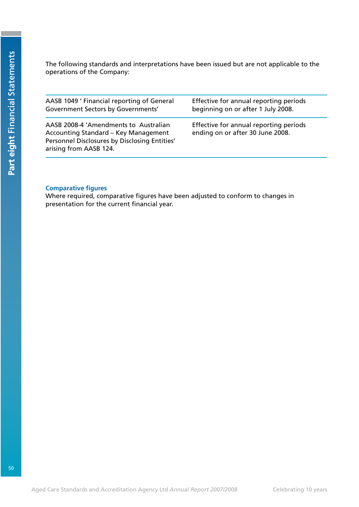The following standards and interpretations have been issued but are not applicable to the operations of the Company:

| AASB 1049 ' Financial reporting of General                                                                                                               | Effective for annual reporting periods                                     |
|----------------------------------------------------------------------------------------------------------------------------------------------------------|----------------------------------------------------------------------------|
| Government Sectors by Governments'                                                                                                                       | beginning on or after 1 July 2008.                                         |
| AASB 2008-4 'Amendments to Australian<br>Accounting Standard – Key Management<br>Personnel Disclosures by Disclosing Entities'<br>arising from AASB 124. | Effective for annual reporting periods<br>ending on or after 30 June 2008. |

### **Comparative figures**

Where required, comparative figures have been adjusted to conform to changes in presentation for the current financial year.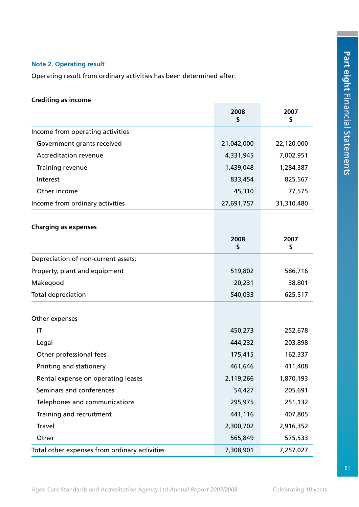### **Note 2. Operating result**

Operating result from ordinary activities has been determined after:

### **Crediting as income**

|                                               | 2008<br>\$ | 2007<br>\$ |
|-----------------------------------------------|------------|------------|
| Income from operating activities              |            |            |
| Government grants received                    | 21,042,000 | 22,120,000 |
| <b>Accreditation revenue</b>                  | 4,331,945  | 7,002,951  |
| Training revenue                              | 1,439,048  | 1,284,387  |
| Interest                                      | 833,454    | 825,567    |
| Other income                                  | 45,310     | 77,575     |
| Income from ordinary activities               | 27,691,757 | 31,310,480 |
| <b>Charging as expenses</b>                   |            |            |
|                                               | 2008<br>\$ | 2007<br>\$ |
| Depreciation of non-current assets:           |            |            |
| Property, plant and equipment                 | 519,802    | 586,716    |
| Makegood                                      | 20,231     | 38,801     |
| <b>Total depreciation</b>                     | 540,033    | 625,517    |
| Other expenses                                |            |            |
| IT                                            | 450,273    | 252,678    |
| Legal                                         | 444,232    | 203,898    |
| Other professional fees                       | 175,415    | 162,337    |
| Printing and stationery                       | 461,646    | 411,408    |
| Rental expense on operating leases            | 2,119,266  | 1,870,193  |
| Seminars and conferences                      | 54,427     | 205,691    |
| Telephones and communications                 | 295,975    | 251,132    |
| Training and recruitment                      | 441,116    | 407,805    |
| <b>Travel</b>                                 | 2,300,702  | 2,916,352  |
| Other                                         | 565,849    | 575,533    |
| Total other expenses from ordinary activities | 7,308,901  | 7,257,027  |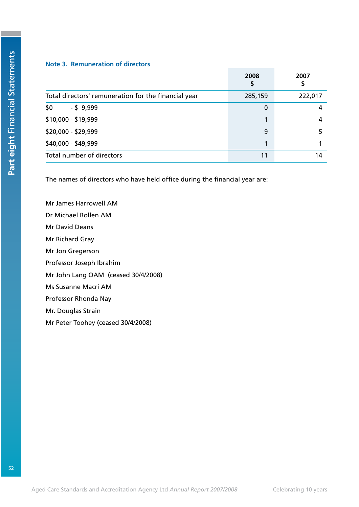### **Note 3. Remuneration of directors**

|                                                      | 2008<br>\$ | 2007    |
|------------------------------------------------------|------------|---------|
| Total directors' remuneration for the financial year | 285,159    | 222,017 |
| \$0<br>$-$ \$ 9,999                                  | 0          | 4       |
| \$10,000 - \$19,999                                  | 1          | 4       |
| \$20,000 - \$29,999                                  | 9          |         |
| \$40,000 - \$49,999                                  | 1          |         |
| Total number of directors                            | 11         | 14      |

The names of directors who have held office during the financial year are:

Mr James Harrowell AM Dr Michael Bollen AM Mr David Deans Mr Richard Gray Mr Jon Gregerson Professor Joseph Ibrahim Mr John Lang OAM (ceased 30/4/2008) Ms Susanne Macri AM Professor Rhonda Nay Mr. Douglas Strain Mr Peter Toohey (ceased 30/4/2008)

 $52$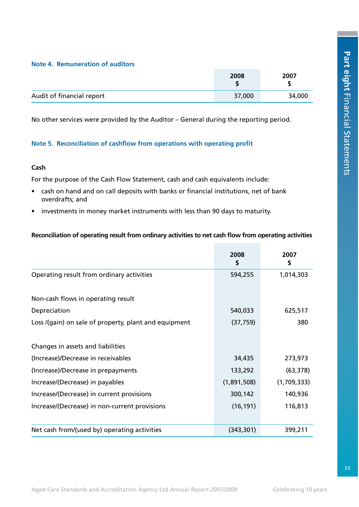### **Note 4. Remuneration of auditors**

|                           | 2008   | 2007   |
|---------------------------|--------|--------|
| Audit of financial report | 37,000 | 34,000 |

No other services were provided by the Auditor – General during the reporting period.

### **Note 5. Reconciliation of cashflow from operations with operating profit**

### **Cash**

For the purpose of the Cash Flow Statement, cash and cash equivalents include:

- cash on hand and on call deposits with banks or financial institutions, net of bank overdrafts; and
- investments in money market instruments with less than 90 days to maturity.

### **Reconciliation of operating result from ordinary activities to net cash flow from operating activities**

|                                                       | 2008<br>\$  | 2007<br>\$  |
|-------------------------------------------------------|-------------|-------------|
| Operating result from ordinary activities             | 594,255     | 1,014,303   |
| Non-cash flows in operating result                    |             |             |
| Depreciation                                          | 540,033     | 625,517     |
| Loss /(gain) on sale of property, plant and equipment | (37, 759)   | 380         |
| Changes in assets and liabilities                     |             |             |
| (Increase)/Decrease in receivables                    | 34,435      | 273,973     |
| (Increase)/Decrease in prepayments                    | 133,292     | (63, 378)   |
| Increase/(Decrease) in payables                       | (1,891,508) | (1,709,333) |
| Increase/(Decrease) in current provisions             | 300,142     | 140,936     |
| Increase/(Decrease) in non-current provisions         | (16, 191)   | 116,813     |
| Net cash from/(used by) operating activities          | (343, 301)  | 399,211     |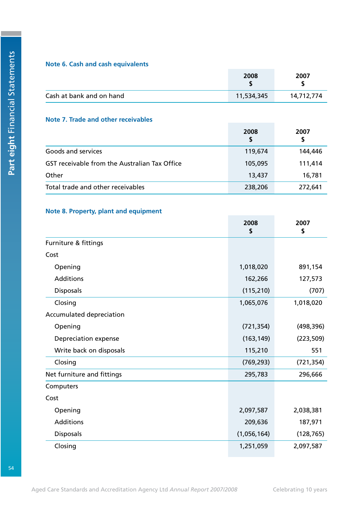### **Note 6. Cash and cash equivalents**

|                          | 2008       | 2007       |
|--------------------------|------------|------------|
| Cash at bank and on hand | 11,534,345 | 14,712,774 |

### **Note 7. Trade and other receivables**

|                                                      | 2008<br>\$ | 2007<br>\$ |
|------------------------------------------------------|------------|------------|
| Goods and services                                   | 119,674    | 144,446    |
| <b>GST receivable from the Australian Tax Office</b> | 105,095    | 111,414    |
| Other                                                | 13,437     | 16,781     |
| Total trade and other receivables                    | 238,206    | 272,641    |

### **Note 8. Property, plant and equipment**

|                            | 2008<br>S   | 2007<br>\$ |
|----------------------------|-------------|------------|
| Furniture & fittings       |             |            |
| Cost                       |             |            |
| Opening                    | 1,018,020   | 891,154    |
| <b>Additions</b>           | 162,266     | 127,573    |
| <b>Disposals</b>           | (115, 210)  | (707)      |
| Closing                    | 1,065,076   | 1,018,020  |
| Accumulated depreciation   |             |            |
| Opening                    | (721, 354)  | (498, 396) |
| Depreciation expense       | (163, 149)  | (223, 509) |
| Write back on disposals    | 115,210     | 551        |
| Closing                    | (769, 293)  | (721, 354) |
| Net furniture and fittings | 295,783     | 296,666    |
| Computers                  |             |            |
| Cost                       |             |            |
| Opening                    | 2,097,587   | 2,038,381  |
| Additions                  | 209,636     | 187,971    |
| <b>Disposals</b>           | (1,056,164) | (128, 765) |
| Closing                    | 1,251,059   | 2,097,587  |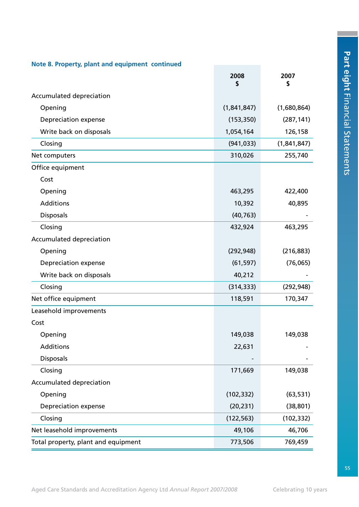| Note 8. Property, plant and equipment continued |             |             |  |
|-------------------------------------------------|-------------|-------------|--|
|                                                 | 2008<br>\$  | 2007<br>\$  |  |
| Accumulated depreciation                        |             |             |  |
| Opening                                         | (1,841,847) | (1,680,864) |  |
| <b>Depreciation expense</b>                     | (153, 350)  | (287, 141)  |  |
| Write back on disposals                         | 1,054,164   | 126,158     |  |
| Closing                                         | (941, 033)  | (1,841,847) |  |
| Net computers                                   | 310,026     | 255,740     |  |
| Office equipment                                |             |             |  |
| Cost                                            |             |             |  |
| Opening                                         | 463,295     | 422,400     |  |
| Additions                                       | 10,392      | 40,895      |  |
| <b>Disposals</b>                                | (40, 763)   |             |  |
| Closing                                         | 432,924     | 463,295     |  |
| Accumulated depreciation                        |             |             |  |
| Opening                                         | (292, 948)  | (216, 883)  |  |
| Depreciation expense                            | (61, 597)   | (76,065)    |  |
| Write back on disposals                         | 40,212      |             |  |
| Closing                                         | (314, 333)  | (292, 948)  |  |
| Net office equipment                            | 118,591     | 170,347     |  |
| Leasehold improvements                          |             |             |  |
| Cost                                            |             |             |  |
| Opening                                         | 149,038     | 149,038     |  |
| <b>Additions</b>                                | 22,631      |             |  |
| <b>Disposals</b>                                |             |             |  |
| Closing                                         | 171,669     | 149,038     |  |
| Accumulated depreciation                        |             |             |  |
| Opening                                         | (102, 332)  | (63, 531)   |  |
| <b>Depreciation expense</b>                     | (20, 231)   | (38, 801)   |  |
| Closing                                         | (122, 563)  | (102, 332)  |  |
| Net leasehold improvements                      | 49,106      | 46,706      |  |
| Total property, plant and equipment             | 773,506     | 769,459     |  |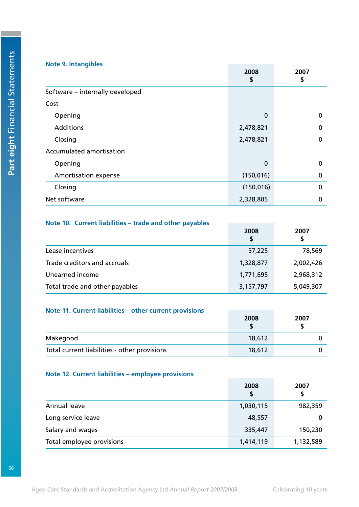### **Note 9. Intangibles**

|                                 | 2008<br>\$ | 2007<br>\$  |
|---------------------------------|------------|-------------|
| Software - internally developed |            |             |
| Cost                            |            |             |
| Opening                         | $\bf{0}$   | $\mathbf 0$ |
| Additions                       | 2,478,821  | $\mathbf 0$ |
| Closing                         | 2,478,821  | $\mathbf 0$ |
| Accumulated amortisation        |            |             |
| Opening                         | $\bf{0}$   | 0           |
| Amortisation expense            | (150, 016) | 0           |
| Closing                         | (150, 016) | $\mathbf 0$ |
| Net software                    | 2,328,805  | 0           |

### **Note 10. Current liabilities – trade and other payables**

|                                | 2008<br>\$ | 2007<br>S |
|--------------------------------|------------|-----------|
| Lease incentives               | 57,225     | 78,569    |
| Trade creditors and accruals   | 1,328,877  | 2,002,426 |
| Unearned income                | 1,771,695  | 2,968,312 |
| Total trade and other payables | 3,157,797  | 5,049,307 |

### **Note 11. Current liabilities – other current provisions**

|                                              | 2008   | 2007 |
|----------------------------------------------|--------|------|
| Makegood                                     | 18,612 |      |
| Total current liabilities - other provisions | 18,612 |      |

### **Note 12. Current liabilities – employee provisions**

|                           | 2008<br>\$ | 2007<br>S |
|---------------------------|------------|-----------|
| Annual leave              | 1,030,115  | 982,359   |
| Long service leave        | 48,557     | 0         |
| Salary and wages          | 335,447    | 150,230   |
| Total employee provisions | 1,414,119  | 1,132,589 |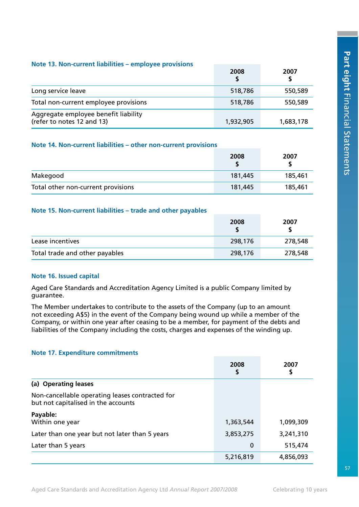|  |  | Note 13. Non-current liabilities - employee provisions |  |  |  |  |
|--|--|--------------------------------------------------------|--|--|--|--|
|--|--|--------------------------------------------------------|--|--|--|--|

|                                                                    | 2008      | 2007      |
|--------------------------------------------------------------------|-----------|-----------|
| Long service leave                                                 | 518,786   | 550,589   |
| Total non-current employee provisions                              | 518,786   | 550,589   |
| Aggregate employee benefit liability<br>(refer to notes 12 and 13) | 1,932,905 | 1,683,178 |

### **Note 14. Non-current liabilities – other non-current provisions**

|                                    | 2008    | 2007    |
|------------------------------------|---------|---------|
| Makegood                           | 181,445 | 185,461 |
| Total other non-current provisions | 181,445 | 185,461 |

### **Note 15. Non-current liabilities – trade and other payables**

|                                | 2008    | 2007    |
|--------------------------------|---------|---------|
| Lease incentives               | 298,176 | 278,548 |
| Total trade and other payables | 298,176 | 278,548 |

### **Note 16. Issued capital**

Aged Care Standards and Accreditation Agency Limited is a public Company limited by guarantee.

The Member undertakes to contribute to the assets of the Company (up to an amount not exceeding A\$5) in the event of the Company being wound up while a member of the Company, or within one year after ceasing to be a member, for payment of the debts and liabilities of the Company including the costs, charges and expenses of the winding up.

### **Note 17. Expenditure commitments**

|                                                                                        | 2008<br>\$ | 2007<br>\$ |
|----------------------------------------------------------------------------------------|------------|------------|
| (a) Operating leases                                                                   |            |            |
| Non-cancellable operating leases contracted for<br>but not capitalised in the accounts |            |            |
| Payable:<br>Within one year                                                            | 1,363,544  | 1,099,309  |
| Later than one year but not later than 5 years                                         | 3,853,275  | 3,241,310  |
| Later than 5 years                                                                     | 0          | 515,474    |
|                                                                                        | 5,216,819  | 4,856,093  |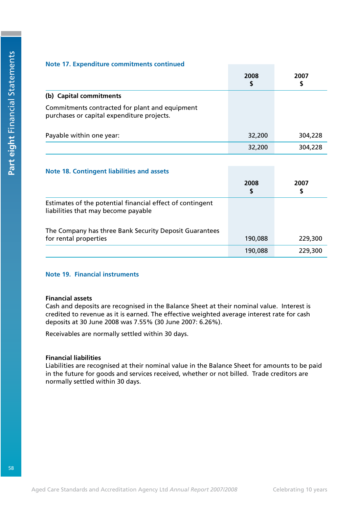### **Note 17. Expenditure commitments continued**

|                                                                                              | 2008<br>\$ | 2007<br>\$ |
|----------------------------------------------------------------------------------------------|------------|------------|
| (b) Capital commitments                                                                      |            |            |
| Commitments contracted for plant and equipment<br>purchases or capital expenditure projects. |            |            |
| Payable within one year:                                                                     | 32,200     | 304,228    |
|                                                                                              | 32,200     | 304,228    |

### **Note 18. Contingent liabilities and assets**

|                                                                                                  | 2008<br>\$ | 2007<br>S |
|--------------------------------------------------------------------------------------------------|------------|-----------|
| Estimates of the potential financial effect of contingent<br>liabilities that may become payable |            |           |
| The Company has three Bank Security Deposit Guarantees<br>for rental properties                  | 190,088    | 229,300   |
|                                                                                                  | 190,088    | 229,300   |

### **Note 19. Financial instruments**

### **Financial assets**

Cash and deposits are recognised in the Balance Sheet at their nominal value. Interest is credited to revenue as it is earned. The effective weighted average interest rate for cash deposits at 30 June 2008 was 7.55% (30 June 2007: 6.26%).

Receivables are normally settled within 30 days.

### **Financial liabilities**

Liabilities are recognised at their nominal value in the Balance Sheet for amounts to be paid in the future for goods and services received, whether or not billed. Trade creditors are normally settled within 30 days.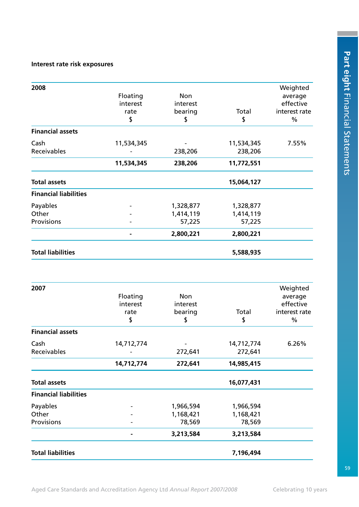### **Interest rate risk exposures**

| 2008                         |                |            |            | Weighted      |
|------------------------------|----------------|------------|------------|---------------|
|                              | Floating       | <b>Non</b> |            | average       |
|                              | interest       | interest   |            | effective     |
|                              | rate           | bearing    | Total      | interest rate |
|                              | \$             | \$         | \$         | $\%$          |
| <b>Financial assets</b>      |                |            |            |               |
| Cash                         | 11,534,345     |            | 11,534,345 | 7.55%         |
| Receivables                  |                | 238,206    | 238,206    |               |
|                              | 11,534,345     | 238,206    | 11,772,551 |               |
| <b>Total assets</b>          |                |            | 15,064,127 |               |
| <b>Financial liabilities</b> |                |            |            |               |
| Payables                     |                | 1,328,877  | 1,328,877  |               |
| Other                        |                | 1,414,119  | 1,414,119  |               |
| Provisions                   |                | 57,225     | 57,225     |               |
|                              | $\blacksquare$ | 2,800,221  | 2,800,221  |               |
| <b>Total liabilities</b>     |                |            | 5,588,935  |               |
|                              |                |            |            |               |
| 2007                         |                |            |            | Weighted      |
|                              | Floating       | Non        |            | average       |

|                              | Floating   | Non       |            | average       |
|------------------------------|------------|-----------|------------|---------------|
|                              | interest   | interest  |            | effective     |
|                              | rate       | bearing   | Total      | interest rate |
|                              | \$         | \$        | \$         | $\%$          |
| <b>Financial assets</b>      |            |           |            |               |
| Cash                         | 14,712,774 |           | 14,712,774 | 6.26%         |
| Receivables                  |            | 272,641   | 272,641    |               |
|                              | 14,712,774 | 272,641   | 14,985,415 |               |
| <b>Total assets</b>          |            |           | 16,077,431 |               |
| <b>Financial liabilities</b> |            |           |            |               |
| Payables                     |            | 1,966,594 | 1,966,594  |               |
| Other                        |            | 1,168,421 | 1,168,421  |               |
| Provisions                   |            | 78,569    | 78,569     |               |
|                              |            | 3,213,584 | 3,213,584  |               |
| <b>Total liabilities</b>     |            |           | 7,196,494  |               |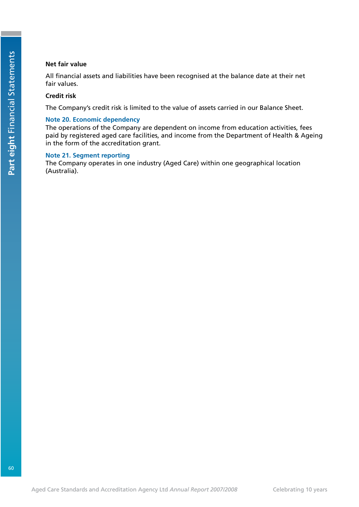### **Net fair value**

All financial assets and liabilities have been recognised at the balance date at their net fair values.

### **Credit risk**

The Company's credit risk is limited to the value of assets carried in our Balance Sheet.

### **Note 20. Economic dependency**

The operations of the Company are dependent on income from education activities, fees paid by registered aged care facilities, and income from the Department of Health & Ageing in the form of the accreditation grant.

### **Note 21. Segment reporting**

The Company operates in one industry (Aged Care) within one geographical location (Australia).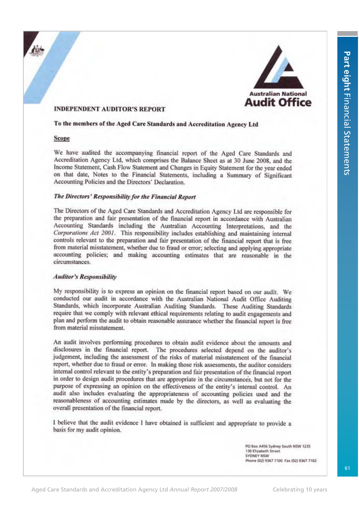

### **INDEPENDENT AUDITOR'S REPORT**

### To the members of the Aged Care Standards and Accreditation Agency Ltd

### Scope

We have audited the accompanying financial report of the Aged Care Standards and Accreditation Agency Ltd, which comprises the Balance Sheet as at 30 June 2008, and the Income Statement, Cash Flow Statement and Changes in Equity Statement for the year ended on that date, Notes to the Financial Statements, including a Summary of Significant Accounting Policies and the Directors' Declaration.

### The Directors' Responsibility for the Financial Report

The Directors of the Aged Care Standards and Accreditation Agency Ltd are responsible for the preparation and fair presentation of the financial report in accordance with Australian Accounting Standards including the Australian Accounting Interpretations, and the Corporations Act 2001. This responsibility includes establishing and maintaining internal controls relevant to the preparation and fair presentation of the financial report that is free from material misstatement, whether due to fraud or error; selecting and applying appropriate accounting policies; and making accounting estimates that are reasonable in the circumstances.

### **Auditor's Responsibility**

My responsibility is to express an opinion on the financial report based on our audit. We conducted our audit in accordance with the Australian National Audit Office Auditing Standards, which incorporate Australian Auditing Standards. These Auditing Standards require that we comply with relevant ethical requirements relating to audit engagements and plan and perform the audit to obtain reasonable assurance whether the financial report is free from material misstatement.

An audit involves performing procedures to obtain audit evidence about the amounts and disclosures in the financial report. The procedures selected depend on the auditor's judgement, including the assessment of the risks of material misstatement of the financial report, whether due to fraud or error. In making those risk assessments, the auditor considers internal control relevant to the entity's preparation and fair presentation of the financial report in order to design audit procedures that are appropriate in the circumstances, but not for the purpose of expressing an opinion on the effectiveness of the entity's internal control. An audit also includes evaluating the appropriateness of accounting policies used and the reasonableness of accounting estimates made by the directors, as well as evaluating the overall presentation of the financial report.

I believe that the audit evidence I have obtained is sufficient and appropriate to provide a basis for my audit opinion.

> PO Box A456 Sydney South NSW 1235 130 Elizabeth Street *EVDNEY NSW* Phone (02) 9367 7100 Fax (02) 9367 7102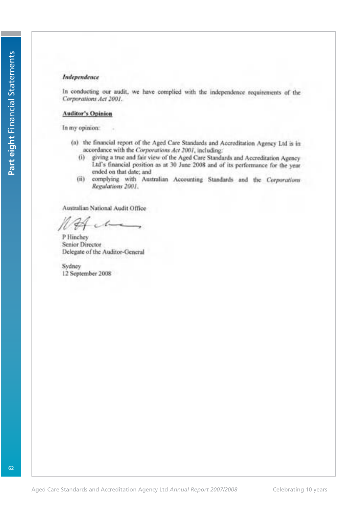### Independence

In conducting our audit, we have complied with the independence requirements of the Corporations Act 2001.

### **Auditor's Opinion**

In my opinion:

- (a) the financial report of the Aged Care Standards and Accreditation Agency Ltd is in accordance with the Corporations Act 2001, including:
	- (i) giving a true and fair view of the Aged Care Standards and Accreditation Agency Ltd's financial position as at 30 June 2008 and of its performance for the year ended on that date; and
	- (ii) complying with Australian Accounting Standards and the Corporations Regulations 2001.

Australian National Audit Office

P Hinchey Senior Director Delegate of the Auditor-General

Sydney 12 September 2008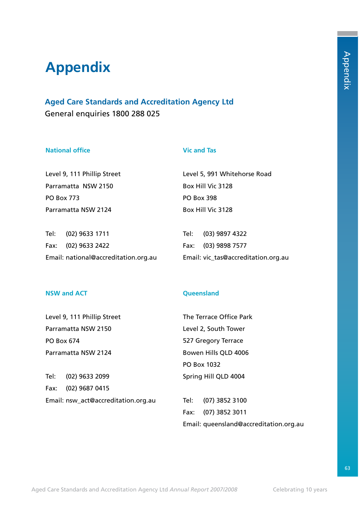# **Appendix**

**Aged Care Standards and Accreditation Agency Ltd** General enquiries 1800 288 025

### **National office**

### **Vic and Tas**

Level 9, 111 Phillip Street Parramatta NSW 2150 PO Box 773 Parramatta NSW 2124

Tel: (02) 9633 1711 Fax: (02) 9633 2422 Email: national@accreditation.org.au Level 5, 991 Whitehorse Road Box Hill Vic 3128 PO Box 398 Box Hill Vic 3128

Tel: (03) 9897 4322 Fax: (03) 9898 7577 Email: vic\_tas@accreditation.org.au

### **NSW and ACT**

**Queensland**

Level 9, 111 Phillip Street Parramatta NSW 2150 PO Box 674 Parramatta NSW 2124

Tel: (02) 9633 2099 Fax: (02) 9687 0415 Email: nsw\_act@accreditation.org.au Level 2, South Tower 527 Gregory Terrace Bowen Hills QLD 4006 PO Box 1032 Spring Hill QLD 4004

The Terrace Office Park

Tel: (07) 3852 3100 Fax: (07) 3852 3011 Email: queensland@accreditation.org.au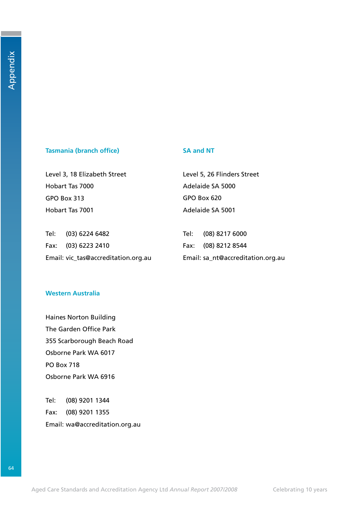### **Tasmania (branch office)**

### **SA and NT**

Level 3, 18 Elizabeth Street Hobart Tas 7000 GPO Box 313 Hobart Tas 7001

Level 5, 26 Flinders Street Adelaide SA 5000 GPO Box 620 Adelaide SA 5001

| Tel: (03) 6224 6482                 | Tel: (08) 8217 6000               |
|-------------------------------------|-----------------------------------|
| Fax: (03) 6223 2410                 | Fax: (08) 8212 8544               |
| Email: vic_tas@accreditation.org.au | Email: sa_nt@accreditation.org.au |

### **Western Australia**

Haines Norton Building The Garden Office Park 355 Scarborough Beach Road Osborne Park WA 6017 PO Box 718 Osborne Park WA 6916

Tel: (08) 9201 1344 Fax: (08) 9201 1355 Email: wa@accreditation.org.au